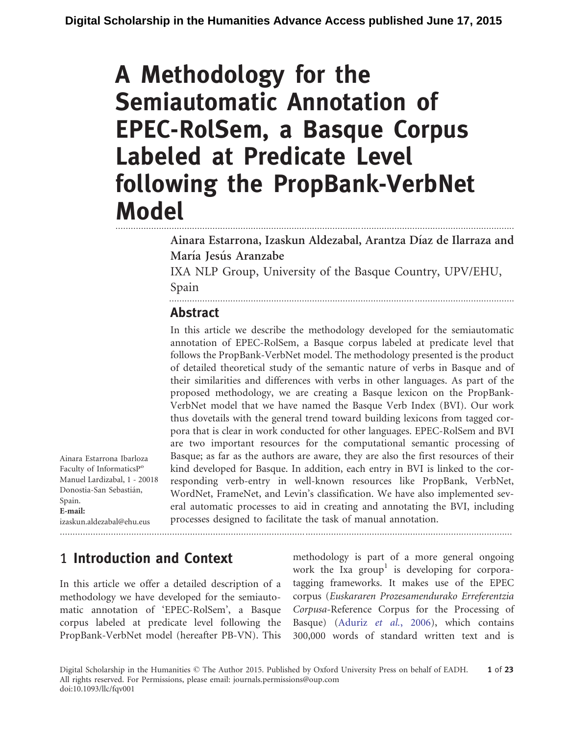# A Methodology for the Semiautomatic Annotation of EPEC-RolSem, a Basque Corpus Labeled at Predicate Level following the PropBank-VerbNet Model ............................................................................................................................................................

Ainara Estarrona, Izaskun Aldezabal, Arantza Díaz de Ilarraza and María Jesús Aranzabe IXA NLP Group, University of the Basque Country, UPV/EHU,

.......................................................................................................................................

Spain

### Abstract

In this article we describe the methodology developed for the semiautomatic annotation of EPEC-RolSem, a Basque corpus labeled at predicate level that follows the PropBank-VerbNet model. The methodology presented is the product of detailed theoretical study of the semantic nature of verbs in Basque and of their similarities and differences with verbs in other languages. As part of the proposed methodology, we are creating a Basque lexicon on the PropBank-VerbNet model that we have named the Basque Verb Index (BVI). Our work thus dovetails with the general trend toward building lexicons from tagged corpora that is clear in work conducted for other languages. EPEC-RolSem and BVI are two important resources for the computational semantic processing of Basque; as far as the authors are aware, they are also the first resources of their kind developed for Basque. In addition, each entry in BVI is linked to the corresponding verb-entry in well-known resources like PropBank, VerbNet, WordNet, FrameNet, and Levin's classification. We have also implemented several automatic processes to aid in creating and annotating the BVI, including processes designed to facilitate the task of manual annotation.

Ainara Estarrona Ibarloza Faculty of InformaticsP<sup>o</sup> Manuel Lardizabal, 1 - 20018 Donostia-San Sebastián, Spain. E-mail: izaskun.aldezabal@ehu.eus

.................................................................................................................................................................................

# 1 Introduction and Context

In this article we offer a detailed description of a methodology we have developed for the semiautomatic annotation of 'EPEC-RolSem', a Basque corpus labeled at predicate level following the PropBank-VerbNet model (hereafter PB-VN). This methodology is part of a more general ongoing work the Ixa group<sup>1</sup> is developing for corporatagging frameworks. It makes use of the EPEC corpus (Euskararen Prozesamendurako Erreferentzia Corpusa-Reference Corpus for the Processing of Basque) ([Aduriz](#page-19-0) et [al.](#page-19-0)[, 2006\)](#page-19-0), which contains 300,000 words of standard written text and is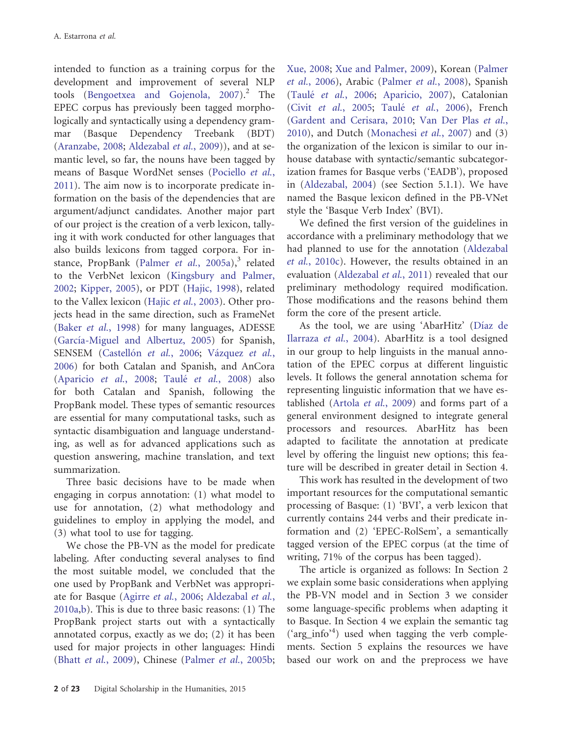intended to function as a training corpus for the development and improvement of several NLP tools ([Bengoetxea and Gojenola, 2007\)](#page-20-0).<sup>2</sup> The EPEC corpus has previously been tagged morphologically and syntactically using a dependency grammar (Basque Dependency Treebank (BDT) ([Aranzabe, 2008;](#page-20-0) [Aldezabal](#page-19-0) et [al.](#page-19-0), [2009](#page-19-0))), and at semantic level, so far, the nouns have been tagged by means of Basque WordNet senses [\(Pociello](#page-21-0) e[t al.](#page-21-0), [2011](#page-21-0)). The aim now is to incorporate predicate information on the basis of the dependencies that are argument/adjunct candidates. Another major part of our project is the creation of a verb lexicon, tallying it with work conducted for other languages that also builds lexicons from tagged corpora. For in-stance, PropBank [\(Palmer](#page-21-0) et [al.](#page-21-0)[, 2005a\)](#page-21-0), $3$  related to the VerbNet lexicon ([Kingsbury and Palmer,](#page-20-0) [2002](#page-20-0); [Kipper, 2005\)](#page-21-0), or PDT [\(Hajic, 1998\)](#page-20-0), related to the Vallex lexicon [\(Hajic](#page-20-0) e[t al.](#page-20-0), [2003\)](#page-20-0). Other projects head in the same direction, such as FrameNet ([Baker](#page-20-0) et [al.](#page-20-0), [1998](#page-20-0)) for many languages, ADESSE (García-Miguel and Albertuz, 2005) for Spanish, SENSEM (Castellón et [al.](#page-20-0)[, 2006](#page-20-0); Vázquez e[t al.](#page-21-0), [2006](#page-21-0)) for both Catalan and Spanish, and AnCora ([Aparicio](#page-20-0) et [al.](#page-20-0), [2008](#page-21-0); Taulé e[t al.](#page-21-0), 2008) also for both Catalan and Spanish, following the PropBank model. These types of semantic resources are essential for many computational tasks, such as syntactic disambiguation and language understanding, as well as for advanced applications such as question answering, machine translation, and text summarization.

Three basic decisions have to be made when engaging in corpus annotation: (1) what model to use for annotation, (2) what methodology and guidelines to employ in applying the model, and (3) what tool to use for tagging.

We chose the PB-VN as the model for predicate labeling. After conducting several analyses to find the most suitable model, we concluded that the one used by PropBank and VerbNet was appropriate for Basque ([Agirre](#page-19-0) e[t al.](#page-19-0), [2006](#page-19-0); [Aldezabal](#page-19-0) e[t al.](#page-19-0), [2010a](#page-19-0),[b\)](#page-19-0). This is due to three basic reasons: (1) The PropBank project starts out with a syntactically annotated corpus, exactly as we do; (2) it has been used for major projects in other languages: Hindi ([Bhatt](#page-20-0) e[t al.](#page-21-0)[, 2009](#page-20-0)), Chinese [\(Palmer](#page-21-0) et al.[, 2005b](#page-21-0); [Xue, 2008;](#page-21-0) [Xue and Palmer, 2009](#page-21-0)), Korean [\(Palmer](#page-21-0) [et al.](#page-21-0), [2006](#page-21-0)), Arabic [\(Palmer](#page-21-0) e[t al.](#page-21-0)[, 2008](#page-21-0)), Spanish (Taulé e[t al.](#page-21-0), [2006;](#page-21-0) [Aparicio,](#page-20-0) 2007), Catalonian ([Civit](#page-20-0) et [al.](#page-20-0)[, 2005;](#page-20-0) Taulé e[t al.](#page-21-0)[, 2006\)](#page-21-0), French ([Gardent and Cerisara, 2010](#page-20-0); [Van Der Plas](#page-21-0) e[t al.](#page-21-0), [2010](#page-21-0)), and Dutch ([Monachesi](#page-21-0) et [al.](#page-21-0)[, 2007\)](#page-21-0) and (3) the organization of the lexicon is similar to our inhouse database with syntactic/semantic subcategorization frames for Basque verbs ('EADB'), proposed in ([Aldezabal, 2004](#page-19-0)) (see Section 5.1.1). We have named the Basque lexicon defined in the PB-VNet style the 'Basque Verb Index' (BVI).

We defined the first version of the guidelines in accordance with a preliminary methodology that we had planned to use for the annotation [\(Aldezabal](#page-19-0) [et al.](#page-19-0), [2010c](#page-19-0)). However, the results obtained in an evaluation ([Aldezabal](#page-20-0) e[t al.](#page-20-0)[, 2011](#page-20-0)) revealed that our preliminary methodology required modification. Those modifications and the reasons behind them form the core of the present article.

As the tool, we are using 'AbarHitz' (Díaz de [Ilarraza](#page-20-0) et [al.](#page-20-0)[, 2004](#page-20-0)). AbarHitz is a tool designed in our group to help linguists in the manual annotation of the EPEC corpus at different linguistic levels. It follows the general annotation schema for representing linguistic information that we have established ([Artola](#page-20-0) et [al.](#page-20-0), [2009\)](#page-20-0) and forms part of a general environment designed to integrate general processors and resources. AbarHitz has been adapted to facilitate the annotation at predicate level by offering the linguist new options; this feature will be described in greater detail in Section 4.

This work has resulted in the development of two important resources for the computational semantic processing of Basque: (1) 'BVI', a verb lexicon that currently contains 244 verbs and their predicate information and (2) 'EPEC-RolSem', a semantically tagged version of the EPEC corpus (at the time of writing, 71% of the corpus has been tagged).

The article is organized as follows: In Section 2 we explain some basic considerations when applying the PB-VN model and in Section 3 we consider some language-specific problems when adapting it to Basque. In Section 4 we explain the semantic tag ('arg\_info'<sup>4</sup> ) used when tagging the verb complements. Section 5 explains the resources we have based our work on and the preprocess we have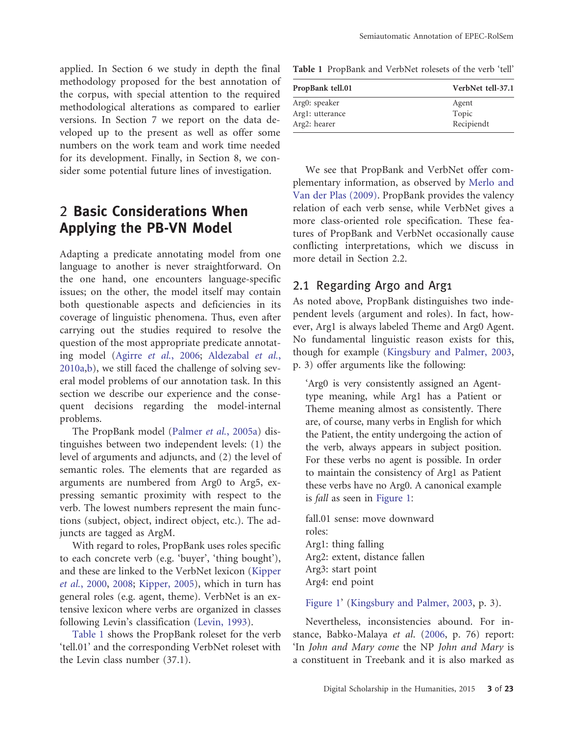applied. In Section 6 we study in depth the final methodology proposed for the best annotation of the corpus, with special attention to the required methodological alterations as compared to earlier versions. In Section 7 we report on the data developed up to the present as well as offer some numbers on the work team and work time needed for its development. Finally, in Section 8, we consider some potential future lines of investigation.

# 2 Basic Considerations When Applying the PB-VN Model

Adapting a predicate annotating model from one language to another is never straightforward. On the one hand, one encounters language-specific issues; on the other, the model itself may contain both questionable aspects and deficiencies in its coverage of linguistic phenomena. Thus, even after carrying out the studies required to resolve the question of the most appropriate predicate annotating model ([Agirre](#page-19-0) e[t al.](#page-19-0), [2006;](#page-19-0) [Aldezabal](#page-19-0) et [al.](#page-19-0), [2010a](#page-19-0),[b\)](#page-19-0), we still faced the challenge of solving several model problems of our annotation task. In this section we describe our experience and the consequent decisions regarding the model-internal problems.

The PropBank model [\(Palmer](#page-21-0) e[t al.](#page-21-0)[, 2005a](#page-21-0)) distinguishes between two independent levels: (1) the level of arguments and adjuncts, and (2) the level of semantic roles. The elements that are regarded as arguments are numbered from Arg0 to Arg5, expressing semantic proximity with respect to the verb. The lowest numbers represent the main functions (subject, object, indirect object, etc.). The adjuncts are tagged as ArgM.

With regard to roles, PropBank uses roles specific to each concrete verb (e.g. 'buyer', 'thing bought'), and these are linked to the VerbNet lexicon ([Kipper](#page-21-0) [et al.](#page-21-0), [2000](#page-21-0), [2008](#page-21-0); [Kipper, 2005](#page-21-0)), which in turn has general roles (e.g. agent, theme). VerbNet is an extensive lexicon where verbs are organized in classes following Levin's classification [\(Levin, 1993](#page-21-0)).

Table 1 shows the PropBank roleset for the verb 'tell.01' and the corresponding VerbNet roleset with the Levin class number (37.1).

Table 1 PropBank and VerbNet rolesets of the verb 'tell'

| PropBank tell.01 | VerbNet tell-37.1 |  |
|------------------|-------------------|--|
| Arg0: speaker    | Agent             |  |
| Arg1: utterance  | Topic             |  |
| Arg2: hearer     | Recipiendt        |  |

We see that PropBank and VerbNet offer complementary information, as observed by [Merlo and](#page-21-0) [Van der Plas \(2009\).](#page-21-0) PropBank provides the valency relation of each verb sense, while VerbNet gives a more class-oriented role specification. These features of PropBank and VerbNet occasionally cause conflicting interpretations, which we discuss in more detail in Section 2.2.

#### 2.1 Regarding Arg0 and Arg1

As noted above, PropBank distinguishes two independent levels (argument and roles). In fact, however, Arg1 is always labeled Theme and Arg0 Agent. No fundamental linguistic reason exists for this, though for example [\(Kingsbury and Palmer, 2003](#page-20-0), p. 3) offer arguments like the following:

'Arg0 is very consistently assigned an Agenttype meaning, while Arg1 has a Patient or Theme meaning almost as consistently. There are, of course, many verbs in English for which the Patient, the entity undergoing the action of the verb, always appears in subject position. For these verbs no agent is possible. In order to maintain the consistency of Arg1 as Patient these verbs have no Arg0. A canonical example is fall as seen in [Figure 1](#page-3-0):

fall.01 sense: move downward roles: Arg1: thing falling Arg2: extent, distance fallen Arg3: start point Arg4: end point

[Figure 1](#page-3-0)' ([Kingsbury and Palmer, 2003](#page-20-0), p. 3).

Nevertheless, inconsistencies abound. For instance, Babko-Malaya et al. ([2006,](#page-20-0) p. 76) report: 'In John and Mary come the NP John and Mary is a constituent in Treebank and it is also marked as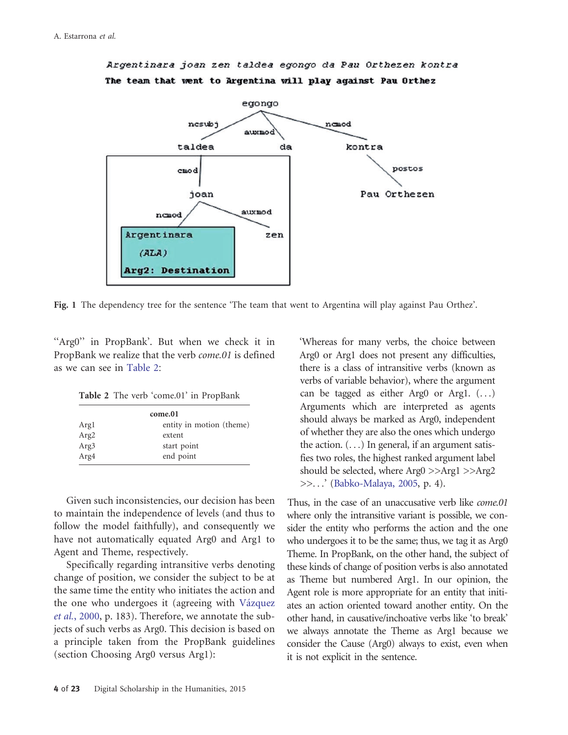

<span id="page-3-0"></span>Argentinara joan zen taldea egongo da Pau Orthezen kontra The team that went to Argentina will play against Pau Orthez

Fig. 1 The dependency tree for the sentence 'The team that went to Argentina will play against Pau Orthez'.

''Arg0'' in PropBank'. But when we check it in PropBank we realize that the verb come.01 is defined as we can see in Table 2:

Table 2 The verb 'come.01' in PropBank

| come.01          |                          |  |  |
|------------------|--------------------------|--|--|
| Argl             | entity in motion (theme) |  |  |
| Arg <sub>2</sub> | extent                   |  |  |
| Arg <sub>3</sub> | start point              |  |  |
| Arg4             | end point                |  |  |

Given such inconsistencies, our decision has been to maintain the independence of levels (and thus to follow the model faithfully), and consequently we have not automatically equated Arg0 and Arg1 to Agent and Theme, respectively.

Specifically regarding intransitive verbs denoting change of position, we consider the subject to be at the same time the entity who initiates the action and the one who undergoes it (agreeing with Vázquez [et al.](#page-21-0), [2000](#page-21-0), p. 183). Therefore, we annotate the subjects of such verbs as Arg0. This decision is based on a principle taken from the PropBank guidelines (section Choosing Arg0 versus Arg1):

'Whereas for many verbs, the choice between Arg0 or Arg1 does not present any difficulties, there is a class of intransitive verbs (known as verbs of variable behavior), where the argument can be tagged as either Arg0 or Arg1. (...) Arguments which are interpreted as agents should always be marked as Arg0, independent of whether they are also the ones which undergo the action.  $( \ldots )$  In general, if an argument satisfies two roles, the highest ranked argument label should be selected, where Arg0 >>Arg1 >>Arg2 >>...' ([Babko-Malaya, 2005](#page-20-0), p. 4).

Thus, in the case of an unaccusative verb like *come.01* where only the intransitive variant is possible, we consider the entity who performs the action and the one who undergoes it to be the same; thus, we tag it as Arg0 Theme. In PropBank, on the other hand, the subject of these kinds of change of position verbs is also annotated as Theme but numbered Arg1. In our opinion, the Agent role is more appropriate for an entity that initiates an action oriented toward another entity. On the other hand, in causative/inchoative verbs like 'to break' we always annotate the Theme as Arg1 because we consider the Cause (Arg0) always to exist, even when it is not explicit in the sentence.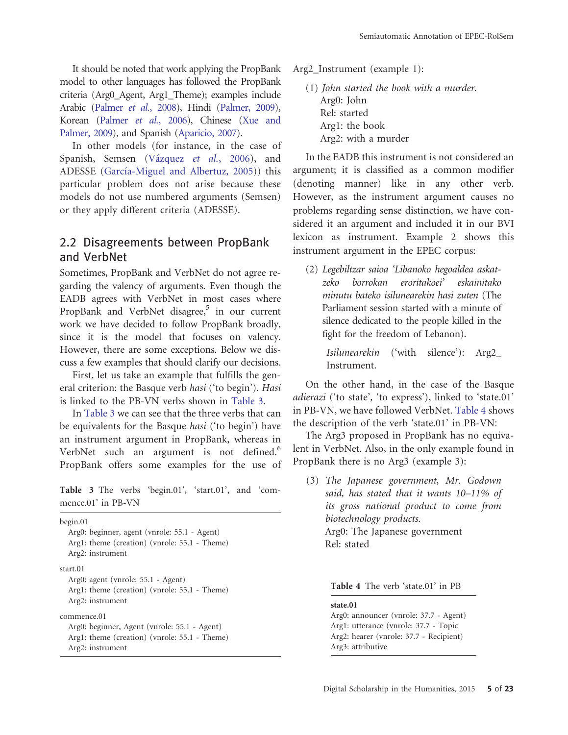It should be noted that work applying the PropBank model to other languages has followed the PropBank criteria (Arg0\_Agent, Arg1\_Theme); examples include Arabic [\(Palmer](#page-21-0) e[t al.](#page-21-0)[, 2008](#page-21-0)), Hindi [\(Palmer, 2009\)](#page-21-0), Korean ([Palmer](#page-21-0) et [al.](#page-21-0)[, 2006](#page-21-0)), Chinese [\(Xue and](#page-21-0) [Palmer, 2009\)](#page-21-0), and Spanish [\(Aparicio, 2007](#page-20-0)).

In other models (for instance, in the case of Spanish, Semsen (Vázquez et [al.](#page-21-0), [2006](#page-21-0)), and ADESSE (García-Miguel and Albertuz, 2005)) this particular problem does not arise because these models do not use numbered arguments (Semsen) or they apply different criteria (ADESSE).

#### 2.2 Disagreements between PropBank and VerbNet

Sometimes, PropBank and VerbNet do not agree regarding the valency of arguments. Even though the EADB agrees with VerbNet in most cases where PropBank and VerbNet disagree,<sup>5</sup> in our current work we have decided to follow PropBank broadly, since it is the model that focuses on valency. However, there are some exceptions. Below we discuss a few examples that should clarify our decisions.

First, let us take an example that fulfills the general criterion: the Basque verb hasi ('to begin'). Hasi is linked to the PB-VN verbs shown in Table 3.

In Table 3 we can see that the three verbs that can be equivalents for the Basque hasi ('to begin') have an instrument argument in PropBank, whereas in VerbNet such an argument is not defined.<sup>6</sup> PropBank offers some examples for the use of

Table 3 The verbs 'begin.01', 'start.01', and 'commence.01' in PB-VN

begin.01 Arg0: beginner, agent (vnrole: 55.1 - Agent) Arg1: theme (creation) (vnrole: 55.1 - Theme) Arg2: instrument start.01 Arg0: agent (vnrole: 55.1 - Agent) Arg1: theme (creation) (vnrole: 55.1 - Theme) Arg2: instrument commence.01 Arg0: beginner, Agent (vnrole: 55.1 - Agent) Arg1: theme (creation) (vnrole: 55.1 - Theme) Arg2: instrument

Arg2\_Instrument (example 1):

(1) John started the book with a murder. Arg0: John Rel: started Arg1: the book Arg2: with a murder

In the EADB this instrument is not considered an argument; it is classified as a common modifier (denoting manner) like in any other verb. However, as the instrument argument causes no problems regarding sense distinction, we have considered it an argument and included it in our BVI lexicon as instrument. Example 2 shows this instrument argument in the EPEC corpus:

(2) Legebiltzar saioa 'Libanoko hegoaldea askatzeko borrokan eroritakoei' eskainitako minutu bateko isilunearekin hasi zuten (The Parliament session started with a minute of silence dedicated to the people killed in the fight for the freedom of Lebanon).

> Isilunearekin ('with silence'): Arg2\_ Instrument.

On the other hand, in the case of the Basque adierazi ('to state', 'to express'), linked to 'state.01' in PB-VN, we have followed VerbNet. Table 4 shows the description of the verb 'state.01' in PB-VN:

The Arg3 proposed in PropBank has no equivalent in VerbNet. Also, in the only example found in PropBank there is no Arg3 (example 3):

(3) The Japanese government, Mr. Godown said, has stated that it wants 10–11% of its gross national product to come from biotechnology products. Arg0: The Japanese government Rel: stated

Table 4 The verb 'state.01' in PB

state.01 Arg0: announcer (vnrole: 37.7 - Agent) Arg1: utterance (vnrole: 37.7 - Topic Arg2: hearer (vnrole: 37.7 - Recipient) Arg3: attributive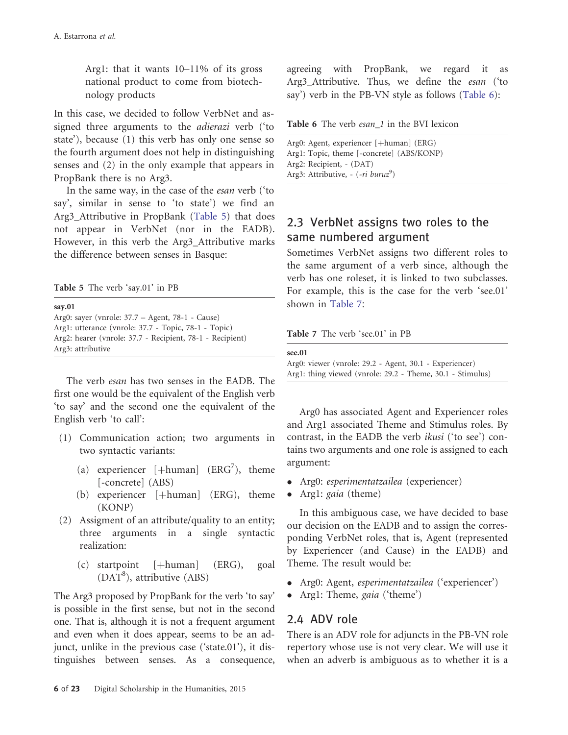Arg1: that it wants 10–11% of its gross national product to come from biotechnology products

In this case, we decided to follow VerbNet and assigned three arguments to the adierazi verb ('to state'), because (1) this verb has only one sense so the fourth argument does not help in distinguishing senses and (2) in the only example that appears in PropBank there is no Arg3.

In the same way, in the case of the esan verb ('to say', similar in sense to 'to state') we find an Arg3\_Attributive in PropBank (Table 5) that does not appear in VerbNet (nor in the EADB). However, in this verb the Arg3\_Attributive marks the difference between senses in Basque:

Table 5 The verb 'say.01' in PB

say.01 Arg0: sayer (vnrole: 37.7 – Agent, 78-1 - Cause) Arg1: utterance (vnrole: 37.7 - Topic, 78-1 - Topic) Arg2: hearer (vnrole: 37.7 - Recipient, 78-1 - Recipient) Arg3: attributive

The verb esan has two senses in the EADB. The first one would be the equivalent of the English verb 'to say' and the second one the equivalent of the English verb 'to call':

- (1) Communication action; two arguments in two syntactic variants:
	- (a) experiencer  $[+{\text{human}}]$  (ERG<sup>7</sup>), theme [-concrete] (ABS)
	- (b) experiencer  $[+{\text{human}}]$  (ERG), theme (KONP)
- (2) Assigment of an attribute/quality to an entity; three arguments in a single syntactic realization:
	- $(c)$  startpoint  $[+human]$  (ERG), goal (DAT<sup>8</sup>), attributive (ABS)

The Arg3 proposed by PropBank for the verb 'to say' is possible in the first sense, but not in the second one. That is, although it is not a frequent argument and even when it does appear, seems to be an adjunct, unlike in the previous case ('state.01'), it distinguishes between senses. As a consequence, agreeing with PropBank, we regard it as Arg3\_Attributive. Thus, we define the esan ('to say') verb in the PB-VN style as follows (Table 6):

| Table 6 The verb esan 1 in the BVI lexicon |  |  |  |  |
|--------------------------------------------|--|--|--|--|
|--------------------------------------------|--|--|--|--|

Arg0: Agent, experiencer [+human] (ERG) Arg1: Topic, theme [-concrete] (ABS/KONP) Arg2: Recipient, - (DAT) Arg3: Attributive, - (-ri buruz<sup>9</sup>)

### 2.3 VerbNet assigns two roles to the same numbered argument

Sometimes VerbNet assigns two different roles to the same argument of a verb since, although the verb has one roleset, it is linked to two subclasses. For example, this is the case for the verb 'see.01' shown in Table 7:

Table 7 The verb 'see.01' in PB

| see.01                                                     |
|------------------------------------------------------------|
| Arg0: viewer (vnrole: 29.2 - Agent, 30.1 - Experiencer)    |
| Arg1: thing viewed (vnrole: 29.2 - Theme, 30.1 - Stimulus) |

Arg0 has associated Agent and Experiencer roles and Arg1 associated Theme and Stimulus roles. By contrast, in the EADB the verb ikusi ('to see') contains two arguments and one role is assigned to each argument:

- Arg0: esperimentatzailea (experiencer)
- Arg1: gaia (theme)

In this ambiguous case, we have decided to base our decision on the EADB and to assign the corresponding VerbNet roles, that is, Agent (represented by Experiencer (and Cause) in the EADB) and Theme. The result would be:

- Arg0: Agent, esperimentatzailea ('experiencer')
- Arg1: Theme, gaia ('theme')

### 2.4 ADV role

There is an ADV role for adjuncts in the PB-VN role repertory whose use is not very clear. We will use it when an adverb is ambiguous as to whether it is a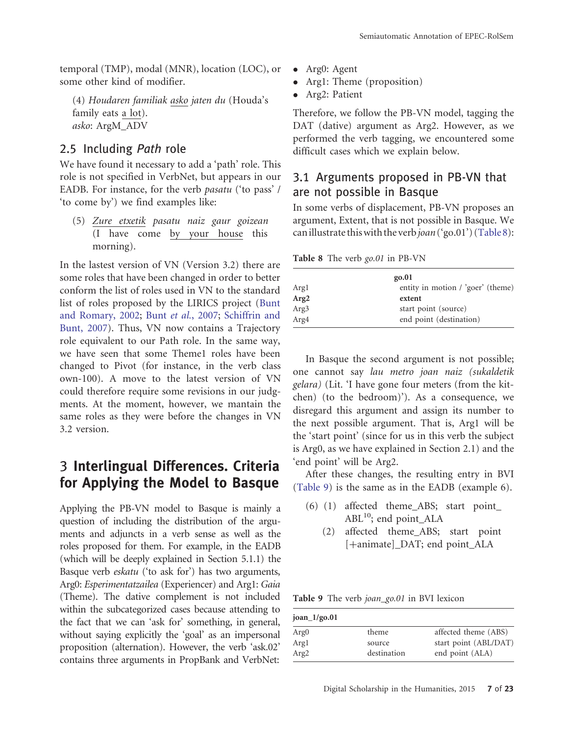temporal (TMP), modal (MNR), location (LOC), or some other kind of modifier.

(4) Houdaren familiak asko jaten du (Houda's family eats a lot). asko: ArgM\_ADV

### 2.5 Including Path role

We have found it necessary to add a 'path' role. This role is not specified in VerbNet, but appears in our EADB. For instance, for the verb pasatu ('to pass' / 'to come by') we find examples like:

(5) Zure etxetik pasatu naiz gaur goizean (I have come by your house this morning).

In the lastest version of VN (Version 3.2) there are some roles that have been changed in order to better conform the list of roles used in VN to the standard list of roles proposed by the LIRICS project [\(Bunt](#page-20-0) [and Romary, 2002](#page-20-0); [Bunt](#page-20-0) et [al.](#page-20-0)[, 2007;](#page-20-0) [Schiffrin and](#page-21-0) [Bunt, 2007\)](#page-21-0). Thus, VN now contains a Trajectory role equivalent to our Path role. In the same way, we have seen that some Theme1 roles have been changed to Pivot (for instance, in the verb class own-100). A move to the latest version of VN could therefore require some revisions in our judgments. At the moment, however, we mantain the same roles as they were before the changes in VN 3.2 version.

# 3 Interlingual Differences. Criteria for Applying the Model to Basque

Applying the PB-VN model to Basque is mainly a question of including the distribution of the arguments and adjuncts in a verb sense as well as the roles proposed for them. For example, in the EADB (which will be deeply explained in Section 5.1.1) the Basque verb eskatu ('to ask for') has two arguments, Arg0: Esperimentatzailea (Experiencer) and Arg1: Gaia (Theme). The dative complement is not included within the subcategorized cases because attending to the fact that we can 'ask for' something, in general, without saying explicitly the 'goal' as an impersonal proposition (alternation). However, the verb 'ask.02' contains three arguments in PropBank and VerbNet:

- Arg0: Agent
- Arg1: Theme (proposition)
- Arg2: Patient

Therefore, we follow the PB-VN model, tagging the DAT (dative) argument as Arg2. However, as we performed the verb tagging, we encountered some difficult cases which we explain below.

#### 3.1 Arguments proposed in PB-VN that are not possible in Basque

In some verbs of displacement, PB-VN proposes an argument, Extent, that is not possible in Basque. We can illustrate this with the verb joan ('go.01') (Table 8):

Table 8 The verb go.01 in PB-VN

|                  | go.01                             |
|------------------|-----------------------------------|
| Argl             | entity in motion / 'goer' (theme) |
| Arg2             | extent                            |
| Arg <sub>3</sub> | start point (source)              |
| Arg4             | end point (destination)           |

In Basque the second argument is not possible; one cannot say lau metro joan naiz (sukaldetik gelara) (Lit. 'I have gone four meters (from the kitchen) (to the bedroom)'). As a consequence, we disregard this argument and assign its number to the next possible argument. That is, Arg1 will be the 'start point' (since for us in this verb the subject is Arg0, as we have explained in Section 2.1) and the 'end point' will be Arg2.

After these changes, the resulting entry in BVI (Table 9) is the same as in the EADB (example 6).

- (6) (1) affected theme\_ABS; start point\_  $ABL<sup>10</sup>$ ; end point ALA
	- (2) affected theme\_ABS; start point [+animate]\_DAT; end point\_ALA

Table 9 The verb joan\_go.01 in BVI lexicon

| $joan_1/go.01$   |             |                       |
|------------------|-------------|-----------------------|
| Arg <sub>0</sub> | theme       | affected theme (ABS)  |
| Argl             | source      | start point (ABL/DAT) |
| Arg <sub>2</sub> | destination | end point (ALA)       |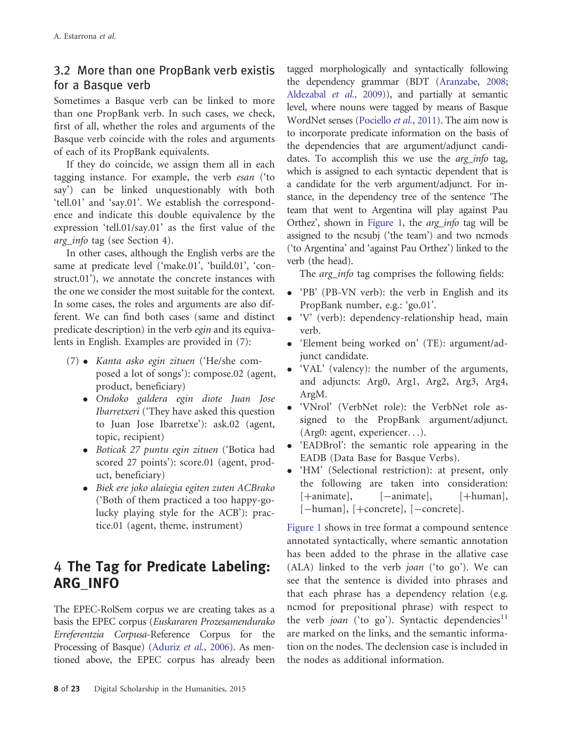### 3.2 More than one PropBank verb existis for a Basque verb

Sometimes a Basque verb can be linked to more than one PropBank verb. In such cases, we check, first of all, whether the roles and arguments of the Basque verb coincide with the roles and arguments of each of its PropBank equivalents.

If they do coincide, we assign them all in each tagging instance. For example, the verb esan ('to say') can be linked unquestionably with both 'tell.01' and 'say.01'. We establish the correspondence and indicate this double equivalence by the expression 'tell.01/say.01' as the first value of the arg\_info tag (see Section 4).

In other cases, although the English verbs are the same at predicate level ('make.01', 'build.01', 'construct.01'), we annotate the concrete instances with the one we consider the most suitable for the context. In some cases, the roles and arguments are also different. We can find both cases (same and distinct predicate description) in the verb egin and its equivalents in English. Examples are provided in (7):

- (7) Kanta asko egin zituen ('He/she composed a lot of songs'): compose.02 (agent, product, beneficiary)
	- Ondoko galdera egin diote Juan Jose Ibarretxeri ('They have asked this question to Juan Jose Ibarretxe'): ask.02 (agent, topic, recipient)
	- Boticak 27 puntu egin zituen ('Botica had scored 27 points'): score.01 (agent, product, beneficiary)
	- Biek ere joko alaiegia egiten zuten ACBrako ('Both of them practiced a too happy-golucky playing style for the ACB'): practice.01 (agent, theme, instrument)

# 4 The Tag for Predicate Labeling: ARG\_INFO

The EPEC-RolSem corpus we are creating takes as a basis the EPEC corpus (Euskararen Prozesamendurako Erreferentzia Corpusa-Reference Corpus for the Processing of Basque) [\(Aduriz](#page-19-0) et [al.](#page-19-0), [2006](#page-19-0)). As mentioned above, the EPEC corpus has already been

tagged morphologically and syntactically following the dependency grammar (BDT ([Aranzabe, 2008;](#page-20-0) [Aldezabal](#page-19-0) e[t al.](#page-19-0)[, 2009](#page-19-0))), and partially at semantic level, where nouns were tagged by means of Basque WordNet senses [\(Pociello](#page-21-0) et [al.](#page-21-0)[, 2011](#page-21-0)). The aim now is to incorporate predicate information on the basis of the dependencies that are argument/adjunct candidates. To accomplish this we use the *arg info* tag, which is assigned to each syntactic dependent that is a candidate for the verb argument/adjunct. For instance, in the dependency tree of the sentence 'The team that went to Argentina will play against Pau Orthez', shown in [Figure 1,](#page-3-0) the arg\_info tag will be assigned to the ncsubj ('the team') and two ncmods ('to Argentina' and 'against Pau Orthez') linked to the verb (the head).

The *arg* info tag comprises the following fields:

- 'PB' (PB-VN verb): the verb in English and its PropBank number, e.g.: 'go.01'.
- 'V' (verb): dependency-relationship head, main verb.
- 'Element being worked on' (TE): argument/adjunct candidate.
- 'VAL' (valency): the number of the arguments, and adjuncts: Arg0, Arg1, Arg2, Arg3, Arg4, ArgM.
- 'VNrol' (VerbNet role): the VerbNet role assigned to the PropBank argument/adjunct. (Arg0: agent, experiencer...).
- 'EADBrol': the semantic role appearing in the EADB (Data Base for Basque Verbs).
- 'HM' (Selectional restriction): at present, only the following are taken into consideration: [ $+\text{animate}$ ], [ $-\text{animate}$ ], [ $+\text{human}$ ],  $[-\text{human}]$ ,  $[+ \text{concrete}]$ ,  $[-\text{concrete}]$ .

[Figure 1](#page-3-0) shows in tree format a compound sentence annotated syntactically, where semantic annotation has been added to the phrase in the allative case (ALA) linked to the verb joan ('to go'). We can see that the sentence is divided into phrases and that each phrase has a dependency relation (e.g. ncmod for prepositional phrase) with respect to the verb *joan* ('to go'). Syntactic dependencies<sup>11</sup> are marked on the links, and the semantic information on the nodes. The declension case is included in the nodes as additional information.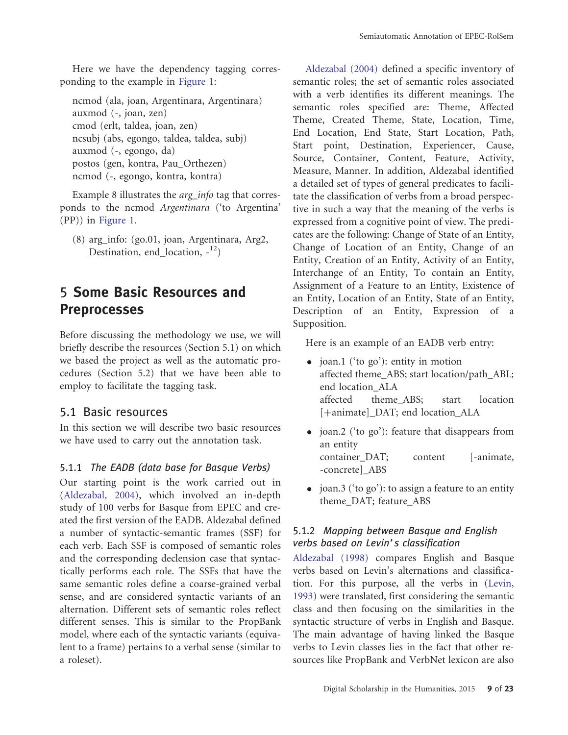Here we have the dependency tagging corresponding to the example in [Figure 1](#page-3-0):

ncmod (ala, joan, Argentinara, Argentinara) auxmod (-, joan, zen) cmod (erlt, taldea, joan, zen) ncsubj (abs, egongo, taldea, taldea, subj) auxmod (-, egongo, da) postos (gen, kontra, Pau\_Orthezen) ncmod (-, egongo, kontra, kontra)

Example 8 illustrates the *arg\_info* tag that corresponds to the ncmod Argentinara ('to Argentina' (PP)) in [Figure 1](#page-3-0).

(8) arg\_info: (go.01, joan, Argentinara, Arg2, Destination, end location,  $-12$ )

# 5 Some Basic Resources and Preprocesses

Before discussing the methodology we use, we will briefly describe the resources (Section 5.1) on which we based the project as well as the automatic procedures (Section 5.2) that we have been able to employ to facilitate the tagging task.

#### 5.1 Basic resources

In this section we will describe two basic resources we have used to carry out the annotation task.

#### 5.1.1 The EADB (data base for Basque Verbs)

Our starting point is the work carried out in [\(Aldezabal, 2004\)](#page-19-0), which involved an in-depth study of 100 verbs for Basque from EPEC and created the first version of the EADB. Aldezabal defined a number of syntactic-semantic frames (SSF) for each verb. Each SSF is composed of semantic roles and the corresponding declension case that syntactically performs each role. The SSFs that have the same semantic roles define a coarse-grained verbal sense, and are considered syntactic variants of an alternation. Different sets of semantic roles reflect different senses. This is similar to the PropBank model, where each of the syntactic variants (equivalent to a frame) pertains to a verbal sense (similar to a roleset).

[Aldezabal \(2004\)](#page-19-0) defined a specific inventory of semantic roles; the set of semantic roles associated with a verb identifies its different meanings. The semantic roles specified are: Theme, Affected Theme, Created Theme, State, Location, Time, End Location, End State, Start Location, Path, Start point, Destination, Experiencer, Cause, Source, Container, Content, Feature, Activity, Measure, Manner. In addition, Aldezabal identified a detailed set of types of general predicates to facilitate the classification of verbs from a broad perspective in such a way that the meaning of the verbs is expressed from a cognitive point of view. The predicates are the following: Change of State of an Entity, Change of Location of an Entity, Change of an Entity, Creation of an Entity, Activity of an Entity, Interchange of an Entity, To contain an Entity, Assignment of a Feature to an Entity, Existence of an Entity, Location of an Entity, State of an Entity, Description of an Entity, Expression of a Supposition.

Here is an example of an EADB verb entry:

- joan.1 ('to go'): entity in motion affected theme\_ABS; start location/path\_ABL; end location\_ALA affected theme\_ABS; start location [+animate] DAT; end location ALA
- joan.2 ('to go'): feature that disappears from an entity container DAT; content [-animate, -concrete]\_ABS
- joan.3 ('to go'): to assign a feature to an entity theme\_DAT; feature\_ABS

#### 5.1.2 Mapping between Basque and English verbs based on Levin's classification

[Aldezabal \(1998\)](#page-19-0) compares English and Basque verbs based on Levin's alternations and classification. For this purpose, all the verbs in [\(Levin,](#page-21-0) [1993\)](#page-21-0) were translated, first considering the semantic class and then focusing on the similarities in the syntactic structure of verbs in English and Basque. The main advantage of having linked the Basque verbs to Levin classes lies in the fact that other resources like PropBank and VerbNet lexicon are also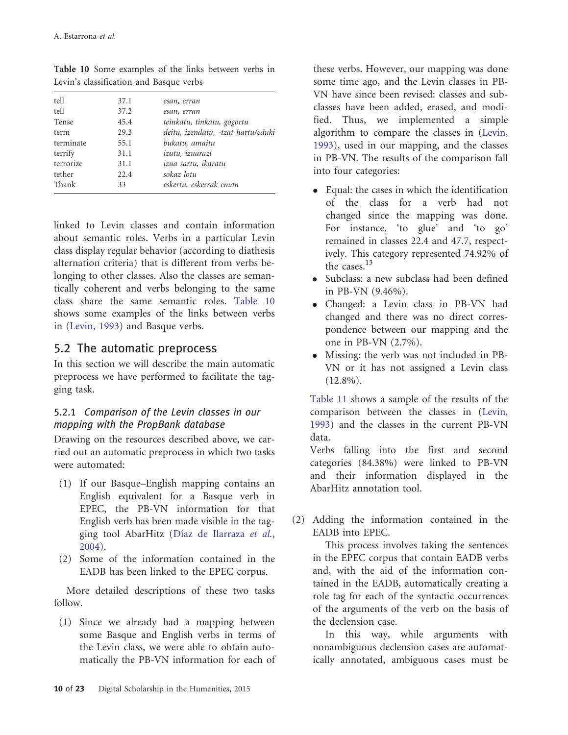| 37.1 | esan, erran                        |
|------|------------------------------------|
| 37.2 | esan, erran                        |
| 45.4 | teinkatu, tinkatu, gogortu         |
| 29.3 | deitu, izendatu, -tzat hartu/eduki |
| 55.1 | bukatu, amaitu                     |
| 31.1 | izutu, izuarazi                    |
| 31.1 | izua sartu, ikaratu                |
| 22.4 | sokaz lotu                         |
| 33   | eskertu, eskerrak eman             |
|      |                                    |

Table 10 Some examples of the links between verbs in Levin's classification and Basque verbs

linked to Levin classes and contain information about semantic roles. Verbs in a particular Levin class display regular behavior (according to diathesis alternation criteria) that is different from verbs belonging to other classes. Also the classes are semantically coherent and verbs belonging to the same class share the same semantic roles. Table 10 shows some examples of the links between verbs in [\(Levin, 1993](#page-21-0)) and Basque verbs.

### 5.2 The automatic preprocess

In this section we will describe the main automatic preprocess we have performed to facilitate the tagging task.

#### 5.2.1 Comparison of the Levin classes in our mapping with the PropBank database

Drawing on the resources described above, we carried out an automatic preprocess in which two tasks were automated:

- (1) If our Basque–English mapping contains an English equivalent for a Basque verb in EPEC, the PB-VN information for that English verb has been made visible in the tagging tool AbarHitz (Díaz de Ilarraza et [al.](#page-20-0), [2004\)](#page-20-0).
- (2) Some of the information contained in the EADB has been linked to the EPEC corpus.

More detailed descriptions of these two tasks follow.

(1) Since we already had a mapping between some Basque and English verbs in terms of the Levin class, we were able to obtain automatically the PB-VN information for each of these verbs. However, our mapping was done some time ago, and the Levin classes in PB-VN have since been revised: classes and subclasses have been added, erased, and modified. Thus, we implemented a simple algorithm to compare the classes in [\(Levin,](#page-21-0) [1993](#page-21-0)), used in our mapping, and the classes in PB-VN. The results of the comparison fall into four categories:

- Equal: the cases in which the identification of the class for a verb had not changed since the mapping was done. For instance, 'to glue' and 'to go' remained in classes 22.4 and 47.7, respectively. This category represented 74.92% of the cases.<sup>13</sup>
- Subclass: a new subclass had been defined in PB-VN (9.46%).
- Changed: a Levin class in PB-VN had changed and there was no direct correspondence between our mapping and the one in PB-VN (2.7%).
- Missing: the verb was not included in PB-VN or it has not assigned a Levin class (12.8%).

[Table 11](#page-10-0) shows a sample of the results of the comparison between the classes in [\(Levin,](#page-21-0) [1993](#page-21-0)) and the classes in the current PB-VN data.

Verbs falling into the first and second categories (84.38%) were linked to PB-VN and their information displayed in the AbarHitz annotation tool.

(2) Adding the information contained in the EADB into EPEC.

This process involves taking the sentences in the EPEC corpus that contain EADB verbs and, with the aid of the information contained in the EADB, automatically creating a role tag for each of the syntactic occurrences of the arguments of the verb on the basis of the declension case.

In this way, while arguments with nonambiguous declension cases are automatically annotated, ambiguous cases must be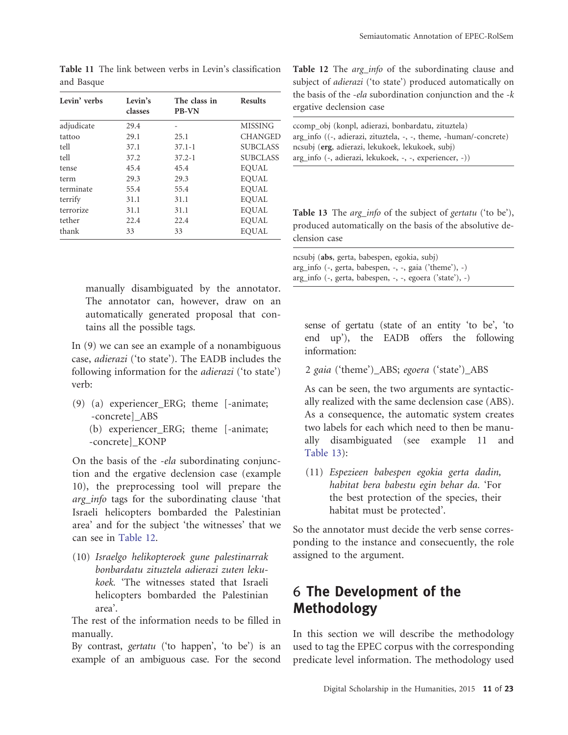| Levin' verbs | Levin's<br>classes | The class in<br><b>PB-VN</b> | <b>Results</b>  |
|--------------|--------------------|------------------------------|-----------------|
| adjudicate   | 29.4               |                              | <b>MISSING</b>  |
| tattoo       | 29.1               | 25.1                         | <b>CHANGED</b>  |
| tell         | 37.1               | $37.1 - 1$                   | <b>SUBCLASS</b> |
| tell         | 37.2               | $37.2 - 1$                   | <b>SUBCLASS</b> |
| tense        | 45.4               | 45.4                         | EOUAL           |
| term         | 29.3               | 29.3                         | <b>EOUAL</b>    |
| terminate    | 55.4               | 55.4                         | <b>EOUAL</b>    |
| terrify      | 31.1               | 31.1                         | <b>EOUAL</b>    |
| terrorize    | 31.1               | 31.1                         | <b>EOUAL</b>    |
| tether       | 22.4               | 22.4                         | <b>EOUAL</b>    |
| thank        | 33                 | 33                           | <b>EOUAL</b>    |

<span id="page-10-0"></span>Table 11 The link between verbs in Levin's classification and Basque

manually disambiguated by the annotator. The annotator can, however, draw on an automatically generated proposal that contains all the possible tags.

In (9) we can see an example of a nonambiguous case, adierazi ('to state'). The EADB includes the following information for the adierazi ('to state') verb:

(9) (a) experiencer\_ERG; theme [-animate; -concrete]\_ABS (b) experiencer\_ERG; theme [-animate;

-concrete]\_KONP

On the basis of the -ela subordinating conjunction and the ergative declension case (example 10), the preprocessing tool will prepare the arg info tags for the subordinating clause 'that Israeli helicopters bombarded the Palestinian area' and for the subject 'the witnesses' that we can see in Table 12.

(10) Israelgo helikopteroek gune palestinarrak bonbardatu zituztela adierazi zuten lekukoek. 'The witnesses stated that Israeli helicopters bombarded the Palestinian area'.

The rest of the information needs to be filled in manually.

By contrast, gertatu ('to happen', 'to be') is an example of an ambiguous case. For the second Table 12 The arg\_info of the subordinating clause and subject of *adierazi* ('to state') produced automatically on the basis of the -ela subordination conjunction and the  $-k$ ergative declension case

| ccomp_obj (konpl, adierazi, bonbardatu, zituztela)                  |
|---------------------------------------------------------------------|
| $arg_info ((-, adierazi, zituztela, -, -, theme, -human/concrete))$ |
| ncsubj (erg, adierazi, lekukoek, lekukoek, subj)                    |
| arg_info (-, adierazi, lekukoek, -, -, experiencer, -))             |

Table 13 The arg\_info of the subject of gertatu ('to be'), produced automatically on the basis of the absolutive declension case

ncsubj (abs, gerta, babespen, egokia, subj) arg\_info (-, gerta, babespen, -, -, gaia ('theme'), -) arg\_info (-, gerta, babespen, -, -, egoera ('state'), -)

sense of gertatu (state of an entity 'to be', 'to end up'), the EADB offers the following information:

2 gaia ('theme')\_ABS; egoera ('state')\_ABS

As can be seen, the two arguments are syntactically realized with the same declension case (ABS). As a consequence, the automatic system creates two labels for each which need to then be manually disambiguated (see example 11 and Table 13):

(11) Espezieen babespen egokia gerta dadin, habitat bera babestu egin behar da. 'For the best protection of the species, their habitat must be protected'.

So the annotator must decide the verb sense corresponding to the instance and consecuently, the role assigned to the argument.

# 6 The Development of the Methodology

In this section we will describe the methodology used to tag the EPEC corpus with the corresponding predicate level information. The methodology used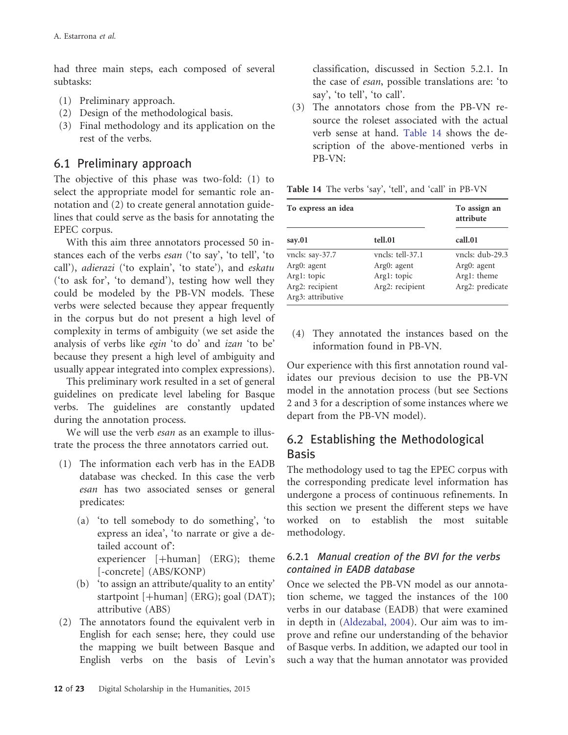had three main steps, each composed of several subtasks:

- (1) Preliminary approach.
- (2) Design of the methodological basis.
- (3) Final methodology and its application on the rest of the verbs.

### 6.1 Preliminary approach

The objective of this phase was two-fold: (1) to select the appropriate model for semantic role annotation and (2) to create general annotation guidelines that could serve as the basis for annotating the EPEC corpus.

With this aim three annotators processed 50 instances each of the verbs esan ('to say', 'to tell', 'to call'), adierazi ('to explain', 'to state'), and eskatu ('to ask for', 'to demand'), testing how well they could be modeled by the PB-VN models. These verbs were selected because they appear frequently in the corpus but do not present a high level of complexity in terms of ambiguity (we set aside the analysis of verbs like egin 'to do' and izan 'to be' because they present a high level of ambiguity and usually appear integrated into complex expressions).

This preliminary work resulted in a set of general guidelines on predicate level labeling for Basque verbs. The guidelines are constantly updated during the annotation process.

We will use the verb *esan* as an example to illustrate the process the three annotators carried out.

- (1) The information each verb has in the EADB database was checked. In this case the verb esan has two associated senses or general predicates:
	- (a) 'to tell somebody to do something', 'to express an idea', 'to narrate or give a detailed account of': experiencer  $[+$ human $]$  (ERG); theme [-concrete] (ABS/KONP)
	- (b) 'to assign an attribute/quality to an entity' startpoint [+human] (ERG); goal (DAT); attributive (ABS)
- (2) The annotators found the equivalent verb in English for each sense; here, they could use the mapping we built between Basque and English verbs on the basis of Levin's

classification, discussed in Section 5.2.1. In the case of esan, possible translations are: 'to say', 'to tell', 'to call'.

(3) The annotators chose from the PB-VN resource the roleset associated with the actual verb sense at hand. Table 14 shows the description of the above-mentioned verbs in PB-VN:

Table 14 The verbs 'say', 'tell', and 'call' in PB-VN

| To express an idea                   |                  | To assign an<br>attribute |  |
|--------------------------------------|------------------|---------------------------|--|
| say.01                               | tell.01          | call.01                   |  |
| vncls: say-37.7                      | vncls: tell-37.1 | yncls: dub-29.3           |  |
| Arg0: agent                          | Arg0: agent      | Arg0: agent               |  |
| Argl: topic                          | Argl: topic      | Arg1: theme               |  |
| Arg2: recipient<br>Arg3: attributive | Arg2: recipient  | Arg2: predicate           |  |

(4) They annotated the instances based on the information found in PB-VN.

Our experience with this first annotation round validates our previous decision to use the PB-VN model in the annotation process (but see Sections 2 and 3 for a description of some instances where we depart from the PB-VN model).

### 6.2 Establishing the Methodological Basis

The methodology used to tag the EPEC corpus with the corresponding predicate level information has undergone a process of continuous refinements. In this section we present the different steps we have worked on to establish the most suitable methodology.

#### 6.2.1 Manual creation of the BVI for the verbs contained in EADB database

Once we selected the PB-VN model as our annotation scheme, we tagged the instances of the 100 verbs in our database (EADB) that were examined in depth in ([Aldezabal, 2004](#page-19-0)). Our aim was to improve and refine our understanding of the behavior of Basque verbs. In addition, we adapted our tool in such a way that the human annotator was provided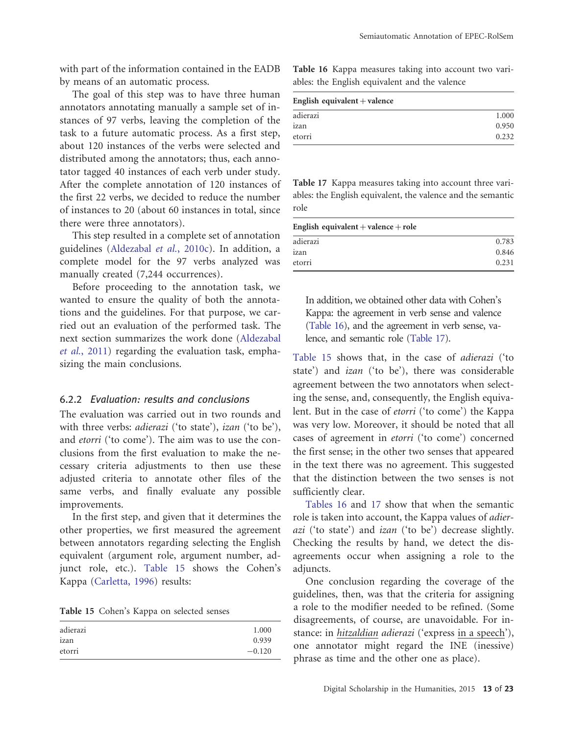with part of the information contained in the EADB by means of an automatic process.

The goal of this step was to have three human annotators annotating manually a sample set of instances of 97 verbs, leaving the completion of the task to a future automatic process. As a first step, about 120 instances of the verbs were selected and distributed among the annotators; thus, each annotator tagged 40 instances of each verb under study. After the complete annotation of 120 instances of the first 22 verbs, we decided to reduce the number of instances to 20 (about 60 instances in total, since there were three annotators).

This step resulted in a complete set of annotation guidelines ([Aldezabal](#page-19-0) et [al.](#page-19-0), [2010c\)](#page-19-0). In addition, a complete model for the 97 verbs analyzed was manually created (7,244 occurrences).

Before proceeding to the annotation task, we wanted to ensure the quality of both the annotations and the guidelines. For that purpose, we carried out an evaluation of the performed task. The next section summarizes the work done ([Aldezabal](#page-20-0) [et al.](#page-20-0)[, 2011](#page-20-0)) regarding the evaluation task, emphasizing the main conclusions.

#### 6.2.2 Evaluation: results and conclusions

The evaluation was carried out in two rounds and with three verbs: *adierazi* ('to state'), *izan* ('to be'), and etorri ('to come'). The aim was to use the conclusions from the first evaluation to make the necessary criteria adjustments to then use these adjusted criteria to annotate other files of the same verbs, and finally evaluate any possible improvements.

In the first step, and given that it determines the other properties, we first measured the agreement between annotators regarding selecting the English equivalent (argument role, argument number, adjunct role, etc.). Table 15 shows the Cohen's Kappa ([Carletta, 1996](#page-20-0)) results:

Table 15 Cohen's Kappa on selected senses

| adierazi | 1.000    |
|----------|----------|
| izan     | 0.939    |
| etorri   | $-0.120$ |

Table 16 Kappa measures taking into account two variables: the English equivalent and the valence

| English equivalent $+$ valence |       |  |
|--------------------------------|-------|--|
| adierazi                       | 1.000 |  |
| izan                           | 0.950 |  |
| etorri                         | 0.232 |  |

Table 17 Kappa measures taking into account three variables: the English equivalent, the valence and the semantic role

| English equivalent + valence + role |       |  |  |
|-------------------------------------|-------|--|--|
| adierazi                            | 0.783 |  |  |
| izan                                | 0.846 |  |  |
| etorri                              | 0.231 |  |  |

In addition, we obtained other data with Cohen's Kappa: the agreement in verb sense and valence (Table 16), and the agreement in verb sense, valence, and semantic role (Table 17).

Table 15 shows that, in the case of adierazi ('to state') and izan ('to be'), there was considerable agreement between the two annotators when selecting the sense, and, consequently, the English equivalent. But in the case of etorri ('to come') the Kappa was very low. Moreover, it should be noted that all cases of agreement in etorri ('to come') concerned the first sense; in the other two senses that appeared in the text there was no agreement. This suggested that the distinction between the two senses is not sufficiently clear.

Tables 16 and 17 show that when the semantic role is taken into account, the Kappa values of adierazi ('to state') and izan ('to be') decrease slightly. Checking the results by hand, we detect the disagreements occur when assigning a role to the adiuncts.

One conclusion regarding the coverage of the guidelines, then, was that the criteria for assigning a role to the modifier needed to be refined. (Some disagreements, of course, are unavoidable. For instance: in hitzaldian adierazi ('express in a speech'), one annotator might regard the INE (inessive) phrase as time and the other one as place).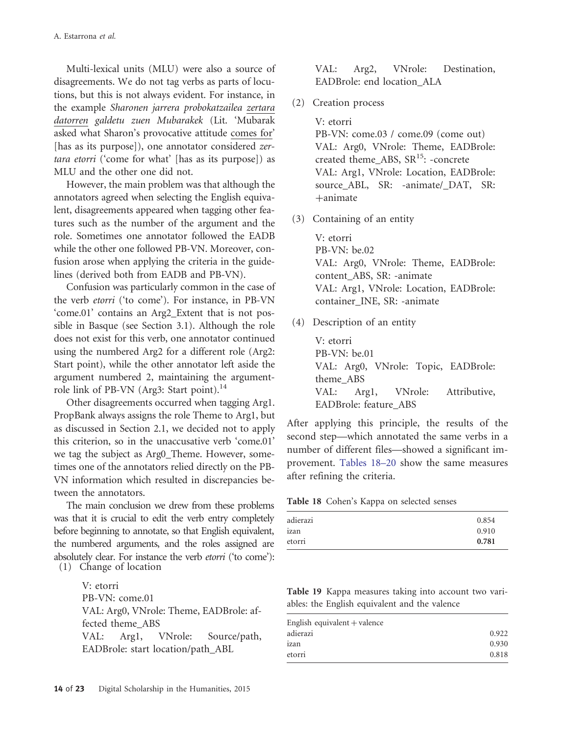Multi-lexical units (MLU) were also a source of disagreements. We do not tag verbs as parts of locutions, but this is not always evident. For instance, in the example Sharonen jarrera probokatzailea zertara datorren galdetu zuen Mubarakek (Lit. 'Mubarak asked what Sharon's provocative attitude comes for' [has as its purpose]), one annotator considered zertara etorri ('come for what' [has as its purpose]) as MLU and the other one did not.

However, the main problem was that although the annotators agreed when selecting the English equivalent, disagreements appeared when tagging other features such as the number of the argument and the role. Sometimes one annotator followed the EADB while the other one followed PB-VN. Moreover, confusion arose when applying the criteria in the guidelines (derived both from EADB and PB-VN).

Confusion was particularly common in the case of the verb etorri ('to come'). For instance, in PB-VN 'come.01' contains an Arg2\_Extent that is not possible in Basque (see Section 3.1). Although the role does not exist for this verb, one annotator continued using the numbered Arg2 for a different role (Arg2: Start point), while the other annotator left aside the argument numbered 2, maintaining the argumentrole link of PB-VN (Arg3: Start point).<sup>14</sup>

Other disagreements occurred when tagging Arg1. PropBank always assigns the role Theme to Arg1, but as discussed in Section 2.1, we decided not to apply this criterion, so in the unaccusative verb 'come.01' we tag the subject as Arg0\_Theme. However, sometimes one of the annotators relied directly on the PB-VN information which resulted in discrepancies between the annotators.

The main conclusion we drew from these problems was that it is crucial to edit the verb entry completely before beginning to annotate, so that English equivalent, the numbered arguments, and the roles assigned are absolutely clear. For instance the verb etorri ('to come'): (1) Change of location

> V: etorri PB-VN: come.01 VAL: Arg0, VNrole: Theme, EADBrole: affected theme\_ABS VAL: Arg1, VNrole: Source/path, EADBrole: start location/path\_ABL

VAL: Arg2, VNrole: Destination, EADBrole: end location\_ALA

(2) Creation process

V: etorri PB-VN: come.03 / come.09 (come out) VAL: Arg0, VNrole: Theme, EADBrole: created theme ABS,  $SR<sup>15</sup>$ : -concrete VAL: Arg1, VNrole: Location, EADBrole: source\_ABL, SR: -animate/\_DAT, SR:  $+$ animate

(3) Containing of an entity

V: etorri PB-VN: be.02 VAL: Arg0, VNrole: Theme, EADBrole: content\_ABS, SR: -animate VAL: Arg1, VNrole: Location, EADBrole: container\_INE, SR: -animate

(4) Description of an entity

V: etorri PB-VN: be.01 VAL: Arg0, VNrole: Topic, EADBrole: theme\_ABS VAL: Arg1, VNrole: Attributive, EADBrole: feature\_ABS

After applying this principle, the results of the second step—which annotated the same verbs in a number of different files—showed a significant improvement. Tables 18–20 show the same measures after refining the criteria.

|  | Table 18 Cohen's Kappa on selected senses |  |  |  |  |
|--|-------------------------------------------|--|--|--|--|
|--|-------------------------------------------|--|--|--|--|

| adierazi | 0.854 |
|----------|-------|
| izan     | 0.910 |
| etorri   | 0.781 |

Table 19 Kappa measures taking into account two variables: the English equivalent and the valence

| English equivalent $+$ valence |       |
|--------------------------------|-------|
| adierazi                       | 0.922 |
| izan                           | 0.930 |
| etorri                         | 0.818 |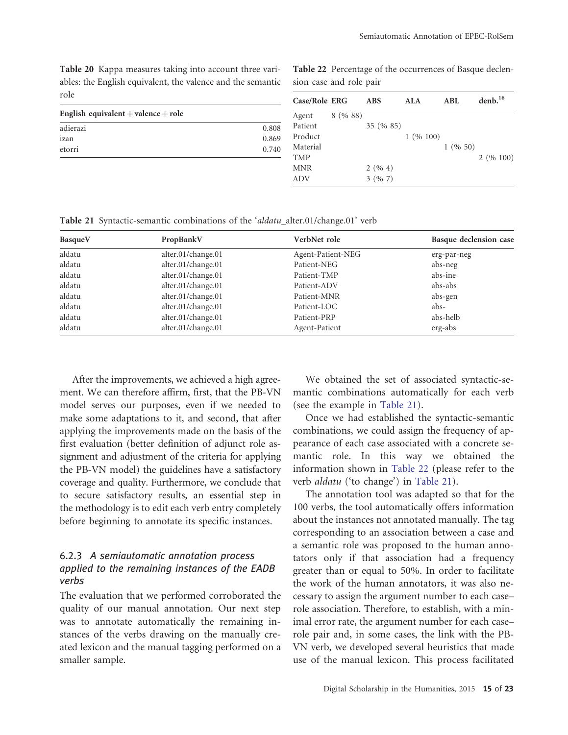Table 20 Kappa measures taking into account three variables: the English equivalent, the valence and the semantic role

Table 22 Percentage of the occurrences of Basque declension case and role pair

| 101C                                |       | Case/Role ERG |         | <b>ABS</b> | ALA              | <b>ABL</b> | denb. <sup>16</sup> |
|-------------------------------------|-------|---------------|---------|------------|------------------|------------|---------------------|
| English equivalent + valence + role |       | Agent         | 8(9688) |            |                  |            |                     |
| adierazi                            | 0.808 | Patient       |         | 35 (% 85)  |                  |            |                     |
| izan                                | 0.869 | Product       |         |            | $1 \ (96 \ 100)$ |            |                     |
| etorri                              | 0.740 | Material      |         |            |                  | 1(9650)    |                     |
|                                     |       | <b>TMP</b>    |         |            |                  |            | 2(96100)            |
|                                     |       | <b>MNR</b>    |         | 2(964)     |                  |            |                     |
|                                     |       | ADV           |         | 3(967)     |                  |            |                     |
|                                     |       |               |         |            |                  |            |                     |

Table 21 Syntactic-semantic combinations of the 'aldatu\_alter.01/change.01' verb

| BasqueV | PropBankV          | VerbNet role      | Basque declension case |
|---------|--------------------|-------------------|------------------------|
| aldatu  | alter.01/change.01 | Agent-Patient-NEG | erg-par-neg            |
| aldatu  | alter.01/change.01 | Patient-NEG       | abs-neg                |
| aldatu  | alter.01/change.01 | Patient-TMP       | abs-ine                |
| aldatu  | alter.01/change.01 | Patient-ADV       | abs-abs                |
| aldatu  | alter.01/change.01 | Patient-MNR       | abs-gen                |
| aldatu  | alter.01/change.01 | Patient-LOC       | abs-                   |
| aldatu  | alter.01/change.01 | Patient-PRP       | abs-helb               |
| aldatu  | alter.01/change.01 | Agent-Patient     | erg-abs                |

After the improvements, we achieved a high agreement. We can therefore affirm, first, that the PB-VN model serves our purposes, even if we needed to make some adaptations to it, and second, that after applying the improvements made on the basis of the first evaluation (better definition of adjunct role assignment and adjustment of the criteria for applying the PB-VN model) the guidelines have a satisfactory coverage and quality. Furthermore, we conclude that to secure satisfactory results, an essential step in the methodology is to edit each verb entry completely before beginning to annotate its specific instances.

#### 6.2.3 A semiautomatic annotation process applied to the remaining instances of the EADB verbs

The evaluation that we performed corroborated the quality of our manual annotation. Our next step was to annotate automatically the remaining instances of the verbs drawing on the manually created lexicon and the manual tagging performed on a smaller sample.

We obtained the set of associated syntactic-semantic combinations automatically for each verb (see the example in Table 21).

Once we had established the syntactic-semantic combinations, we could assign the frequency of appearance of each case associated with a concrete semantic role. In this way we obtained the information shown in Table 22 (please refer to the verb aldatu ('to change') in Table 21).

The annotation tool was adapted so that for the 100 verbs, the tool automatically offers information about the instances not annotated manually. The tag corresponding to an association between a case and a semantic role was proposed to the human annotators only if that association had a frequency greater than or equal to 50%. In order to facilitate the work of the human annotators, it was also necessary to assign the argument number to each case– role association. Therefore, to establish, with a minimal error rate, the argument number for each case– role pair and, in some cases, the link with the PB-VN verb, we developed several heuristics that made use of the manual lexicon. This process facilitated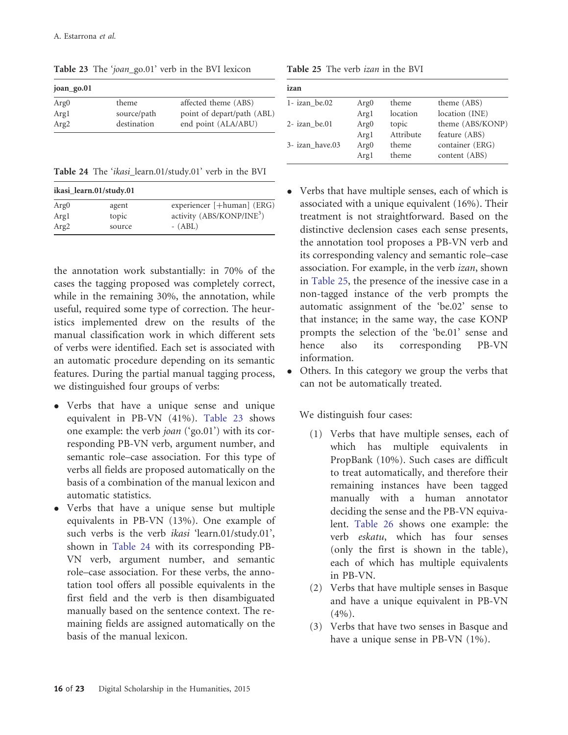| joan_go.01       |             |                            |
|------------------|-------------|----------------------------|
| Arg <sub>0</sub> | theme       | affected theme (ABS)       |
| Argl             | source/path | point of depart/path (ABL) |
| Arg <sub>2</sub> | destination | end point (ALA/ABU)        |
|                  |             |                            |

Table 23 The 'joan\_go.01' verb in the BVI lexicon

| <b>Table 24</b> The <i>ikasi</i> learn.01/study.01' verb in the BVI |  |  |  |  |  |  |  |  |  |
|---------------------------------------------------------------------|--|--|--|--|--|--|--|--|--|
|---------------------------------------------------------------------|--|--|--|--|--|--|--|--|--|

|                  | ikasi learn.01/study.01 |                                       |
|------------------|-------------------------|---------------------------------------|
| Arg <sub>0</sub> | agent                   | experiencer [+human] (ERG)            |
| Argl             | topic                   | activity (ABS/KONP/INE <sup>3</sup> ) |
| Arg <sub>2</sub> | source                  | $- (ABL)$                             |

the annotation work substantially: in 70% of the cases the tagging proposed was completely correct, while in the remaining 30%, the annotation, while useful, required some type of correction. The heuristics implemented drew on the results of the manual classification work in which different sets of verbs were identified. Each set is associated with an automatic procedure depending on its semantic features. During the partial manual tagging process, we distinguished four groups of verbs:

- Verbs that have a unique sense and unique equivalent in PB-VN (41%). Table 23 shows one example: the verb joan ('go.01') with its corresponding PB-VN verb, argument number, and semantic role–case association. For this type of verbs all fields are proposed automatically on the basis of a combination of the manual lexicon and automatic statistics.
- Verbs that have a unique sense but multiple equivalents in PB-VN (13%). One example of such verbs is the verb *ikasi* 'learn.01/study.01', shown in Table 24 with its corresponding PB-VN verb, argument number, and semantic role–case association. For these verbs, the annotation tool offers all possible equivalents in the first field and the verb is then disambiguated manually based on the sentence context. The remaining fields are assigned automatically on the basis of the manual lexicon.

| Table 25 The verb izan in the BVI |  |
|-----------------------------------|--|
|-----------------------------------|--|

| izan             |                  |           |                  |
|------------------|------------------|-----------|------------------|
| $1 - izan$ be.02 | Arg <sub>0</sub> | theme     | theme (ABS)      |
|                  | Argl             | location  | location (INE)   |
| $2$ - izan be.01 | Arg <sub>0</sub> | topic     | theme (ABS/KONP) |
|                  | Argl             | Attribute | feature (ABS)    |
| 3- izan have.03  | Arg <sub>0</sub> | theme     | container (ERG)  |
|                  | Argl             | theme     | content (ABS)    |

- Verbs that have multiple senses, each of which is associated with a unique equivalent (16%). Their treatment is not straightforward. Based on the distinctive declension cases each sense presents, the annotation tool proposes a PB-VN verb and its corresponding valency and semantic role–case association. For example, in the verb izan, shown in Table 25, the presence of the inessive case in a non-tagged instance of the verb prompts the automatic assignment of the 'be.02' sense to that instance; in the same way, the case KONP prompts the selection of the 'be.01' sense and hence also its corresponding PB-VN information.
- $\bullet$  Others. In this category we group the verbs that can not be automatically treated.

We distinguish four cases:

- (1) Verbs that have multiple senses, each of which has multiple equivalents in PropBank (10%). Such cases are difficult to treat automatically, and therefore their remaining instances have been tagged manually with a human annotator deciding the sense and the PB-VN equivalent. [Table 26](#page-16-0) shows one example: the verb eskatu, which has four senses (only the first is shown in the table), each of which has multiple equivalents in PB-VN.
- (2) Verbs that have multiple senses in Basque and have a unique equivalent in PB-VN  $(4\%)$ .
- (3) Verbs that have two senses in Basque and have a unique sense in PB-VN (1%).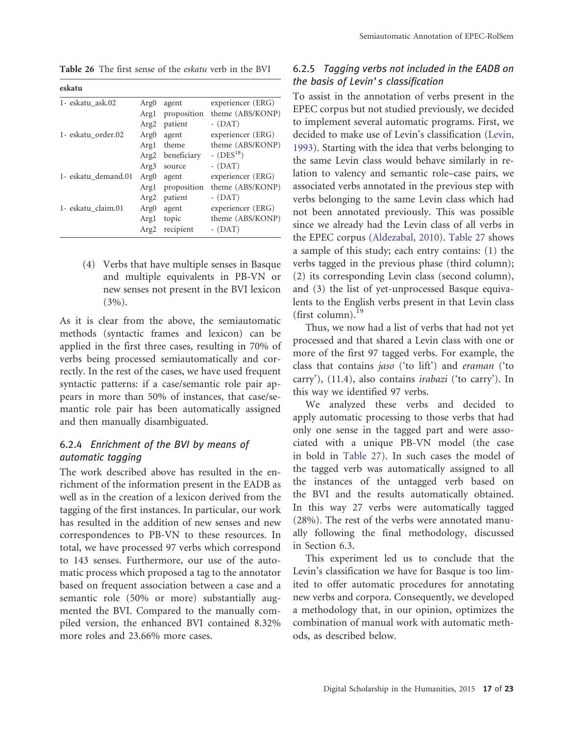<span id="page-16-0"></span>Table 26 The first sense of the eskatu verb in the BVI

| eskatu              |                  |             |                   |
|---------------------|------------------|-------------|-------------------|
| 1- eskatu ask.02    | Arg <sub>0</sub> | agent       | experiencer (ERG) |
|                     | Argl             | proposition | theme (ABS/KONP)  |
|                     | Arg <sub>2</sub> | patient     | $-$ (DAT)         |
| 1- eskatu order.02  | Arg <sub>0</sub> | agent       | experiencer (ERG) |
|                     | Argl             | theme       | theme (ABS/KONP)  |
|                     | Arg <sub>2</sub> | beneficiary | - $(DES^{18})$    |
|                     | Arg3             | source      | $-$ (DAT)         |
| 1- eskatu demand.01 | Arg <sub>0</sub> | agent       | experiencer (ERG) |
|                     | Argl             | proposition | theme (ABS/KONP)  |
|                     | Arg <sub>2</sub> | patient     | $-$ (DAT)         |
| 1- eskatu claim.01  | Arg <sub>0</sub> | agent       | experiencer (ERG) |
|                     | Argl             | topic       | theme (ABS/KONP)  |
|                     | Arg <sub>2</sub> | recipient   | $-$ (DAT)         |

(4) Verbs that have multiple senses in Basque and multiple equivalents in PB-VN or new senses not present in the BVI lexicon  $(3\%)$ .

As it is clear from the above, the semiautomatic methods (syntactic frames and lexicon) can be applied in the first three cases, resulting in 70% of verbs being processed semiautomatically and correctly. In the rest of the cases, we have used frequent syntactic patterns: if a case/semantic role pair appears in more than 50% of instances, that case/semantic role pair has been automatically assigned and then manually disambiguated.

#### 6.2.4 Enrichment of the BVI by means of automatic tagging

The work described above has resulted in the enrichment of the information present in the EADB as well as in the creation of a lexicon derived from the tagging of the first instances. In particular, our work has resulted in the addition of new senses and new correspondences to PB-VN to these resources. In total, we have processed 97 verbs which correspond to 143 senses. Furthermore, our use of the automatic process which proposed a tag to the annotator based on frequent association between a case and a semantic role (50% or more) substantially augmented the BVI. Compared to the manually compiled version, the enhanced BVI contained 8.32% more roles and 23.66% more cases.

#### 6.2.5 Tagging verbs not included in the EADB on the basis of Levin's classification

To assist in the annotation of verbs present in the EPEC corpus but not studied previously, we decided to implement several automatic programs. First, we decided to make use of Levin's classification [\(Levin,](#page-21-0) [1993\)](#page-21-0). Starting with the idea that verbs belonging to the same Levin class would behave similarly in relation to valency and semantic role–case pairs, we associated verbs annotated in the previous step with verbs belonging to the same Levin class which had not been annotated previously. This was possible since we already had the Levin class of all verbs in the EPEC corpus [\(Aldezabal, 2010\)](#page-19-0). [Table 27](#page-17-0) shows a sample of this study; each entry contains: (1) the verbs tagged in the previous phase (third column); (2) its corresponding Levin class (second column), and (3) the list of yet-unprocessed Basque equivalents to the English verbs present in that Levin class (first column). $^{19}$ 

Thus, we now had a list of verbs that had not yet processed and that shared a Levin class with one or more of the first 97 tagged verbs. For example, the class that contains jaso ('to lift') and eraman ('to carry'), (11.4), also contains irabazi ('to carry'). In this way we identified 97 verbs.

We analyzed these verbs and decided to apply automatic processing to those verbs that had only one sense in the tagged part and were associated with a unique PB-VN model (the case in bold in [Table 27\)](#page-17-0). In such cases the model of the tagged verb was automatically assigned to all the instances of the untagged verb based on the BVI and the results automatically obtained. In this way 27 verbs were automatically tagged (28%). The rest of the verbs were annotated manually following the final methodology, discussed in Section 6.3.

This experiment led us to conclude that the Levin's classification we have for Basque is too limited to offer automatic procedures for annotating new verbs and corpora. Consequently, we developed a methodology that, in our opinion, optimizes the combination of manual work with automatic methods, as described below.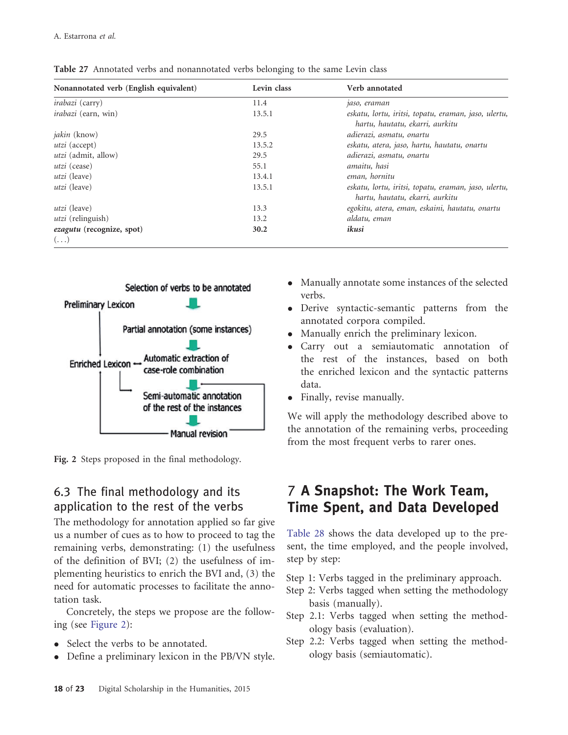| Nonannotated verb (English equivalent) | Levin class | Verb annotated                                                                          |
|----------------------------------------|-------------|-----------------------------------------------------------------------------------------|
| <i>irabazi</i> (carry)                 | 11.4        | jaso, eraman                                                                            |
| <i>irabazi</i> (earn, win)             | 13.5.1      | eskatu, lortu, iritsi, topatu, eraman, jaso, ulertu,<br>hartu, hautatu, ekarri, aurkitu |
| <i>jakin</i> (know)                    | 29.5        | adierazi, asmatu, onartu                                                                |
| <i>utzi</i> (accept)                   | 13.5.2      | eskatu, atera, jaso, hartu, hautatu, onartu                                             |
| <i>utzi</i> (admit, allow)             | 29.5        | adierazi, asmatu, onartu                                                                |
| <i>utzi</i> (cease)                    | 55.1        | amaitu, hasi                                                                            |
| <i>utzi</i> (leave)                    | 13.4.1      | eman, hornitu                                                                           |
| <i>utzi</i> (leave)                    | 13.5.1      | eskatu, lortu, iritsi, topatu, eraman, jaso, ulertu,<br>hartu, hautatu, ekarri, aurkitu |
| <i>utzi</i> (leave)                    | 13.3        | egokitu, atera, eman, eskaini, hautatu, onartu                                          |
| <i>utzi</i> (relinguish)               | 13.2        | aldatu, eman                                                                            |
| ezagutu (recognize, spot)              | 30.2        | ikusi                                                                                   |
| $(\ldots)$                             |             |                                                                                         |

<span id="page-17-0"></span>Table 27 Annotated verbs and nonannotated verbs belonging to the same Levin class



Fig. 2 Steps proposed in the final methodology.

# 6.3 The final methodology and its application to the rest of the verbs

The methodology for annotation applied so far give us a number of cues as to how to proceed to tag the remaining verbs, demonstrating: (1) the usefulness of the definition of BVI; (2) the usefulness of implementing heuristics to enrich the BVI and, (3) the need for automatic processes to facilitate the annotation task.

Concretely, the steps we propose are the following (see Figure 2):

- Select the verbs to be annotated.
- Define a preliminary lexicon in the PB/VN style.
- Manually annotate some instances of the selected verbs.
- Derive syntactic-semantic patterns from the annotated corpora compiled.
- $\bullet$ Manually enrich the preliminary lexicon.
- Carry out a semiautomatic annotation of the rest of the instances, based on both the enriched lexicon and the syntactic patterns data.
- Finally, revise manually.

We will apply the methodology described above to the annotation of the remaining verbs, proceeding from the most frequent verbs to rarer ones.

# 7 A Snapshot: The Work Team, Time Spent, and Data Developed

[Table 28](#page-18-0) shows the data developed up to the present, the time employed, and the people involved, step by step:

- Step 1: Verbs tagged in the preliminary approach.
- Step 2: Verbs tagged when setting the methodology basis (manually).
- Step 2.1: Verbs tagged when setting the methodology basis (evaluation).
- Step 2.2: Verbs tagged when setting the methodology basis (semiautomatic).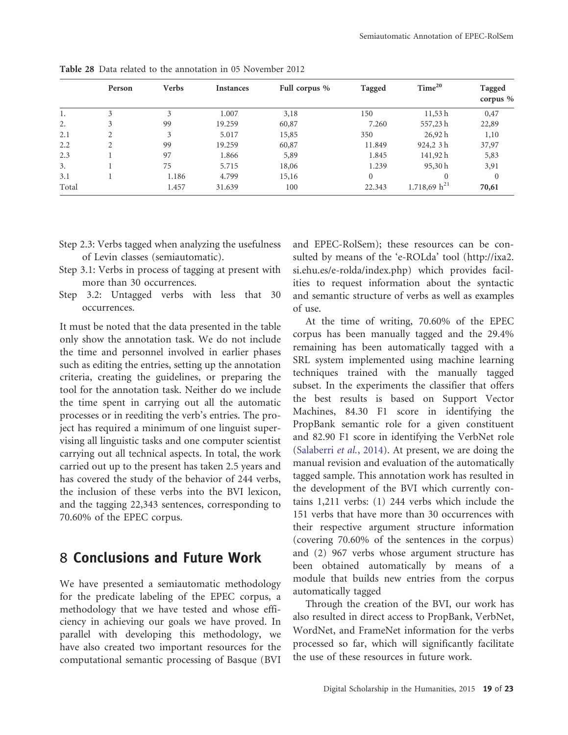|       | Person         | <b>Verbs</b> | <b>Instances</b> | Full corpus % | Tagged   | Time <sup>20</sup> | Tagged<br>corpus $%$ |
|-------|----------------|--------------|------------------|---------------|----------|--------------------|----------------------|
| 1.    | 3              | 3            | 1.007            | 3,18          | 150      | 11,53h             | 0,47                 |
| 2.    | 3              | 99           | 19.259           | 60,87         | 7.260    | 557,23h            | 22,89                |
| 2.1   | $\overline{c}$ | 3            | 5.017            | 15,85         | 350      | 26,92 h            | 1,10                 |
| 2.2   | $\mathfrak{D}$ | 99           | 19.259           | 60,87         | 11.849   | 924,2 3h           | 37,97                |
| 2.3   |                | 97           | 1.866            | 5,89          | 1.845    | 141,92h            | 5,83                 |
| 3.    |                | 75           | 5.715            | 18,06         | 1.239    | 95,30h             | 3,91                 |
| 3.1   |                | 1.186        | 4.799            | 15,16         | $\Omega$ |                    | $\mathbf{0}$         |
| Total |                | 1.457        | 31.639           | 100           | 22.343   | 1.718,69 $h^{21}$  | 70,61                |

<span id="page-18-0"></span>Table 28 Data related to the annotation in 05 November 2012

- Step 2.3: Verbs tagged when analyzing the usefulness of Levin classes (semiautomatic).
- Step 3.1: Verbs in process of tagging at present with more than 30 occurrences.
- Step 3.2: Untagged verbs with less that 30 occurrences.

It must be noted that the data presented in the table only show the annotation task. We do not include the time and personnel involved in earlier phases such as editing the entries, setting up the annotation criteria, creating the guidelines, or preparing the tool for the annotation task. Neither do we include the time spent in carrying out all the automatic processes or in reediting the verb's entries. The project has required a minimum of one linguist supervising all linguistic tasks and one computer scientist carrying out all technical aspects. In total, the work carried out up to the present has taken 2.5 years and has covered the study of the behavior of 244 verbs, the inclusion of these verbs into the BVI lexicon, and the tagging 22,343 sentences, corresponding to 70.60% of the EPEC corpus.

### 8 Conclusions and Future Work

We have presented a semiautomatic methodology for the predicate labeling of the EPEC corpus, a methodology that we have tested and whose efficiency in achieving our goals we have proved. In parallel with developing this methodology, we have also created two important resources for the computational semantic processing of Basque (BVI

and EPEC-RolSem); these resources can be consulted by means of the 'e-ROLda' tool [\(http://ixa2.](http://ixa2.si.ehu.es/e-rolda/index.php) [si.ehu.es/e-rolda/index.php\)](http://ixa2.si.ehu.es/e-rolda/index.php) which provides facilities to request information about the syntactic and semantic structure of verbs as well as examples of use.

At the time of writing, 70.60% of the EPEC corpus has been manually tagged and the 29.4% remaining has been automatically tagged with a SRL system implemented using machine learning techniques trained with the manually tagged subset. In the experiments the classifier that offers the best results is based on Support Vector Machines, 84.30 F1 score in identifying the PropBank semantic role for a given constituent and 82.90 F1 score in identifying the VerbNet role ([Salaberri](#page-21-0) et [al.](#page-21-0), [2014\)](#page-21-0). At present, we are doing the manual revision and evaluation of the automatically tagged sample. This annotation work has resulted in the development of the BVI which currently contains 1,211 verbs: (1) 244 verbs which include the 151 verbs that have more than 30 occurrences with their respective argument structure information (covering 70.60% of the sentences in the corpus) and (2) 967 verbs whose argument structure has been obtained automatically by means of a module that builds new entries from the corpus automatically tagged

Through the creation of the BVI, our work has also resulted in direct access to PropBank, VerbNet, WordNet, and FrameNet information for the verbs processed so far, which will significantly facilitate the use of these resources in future work.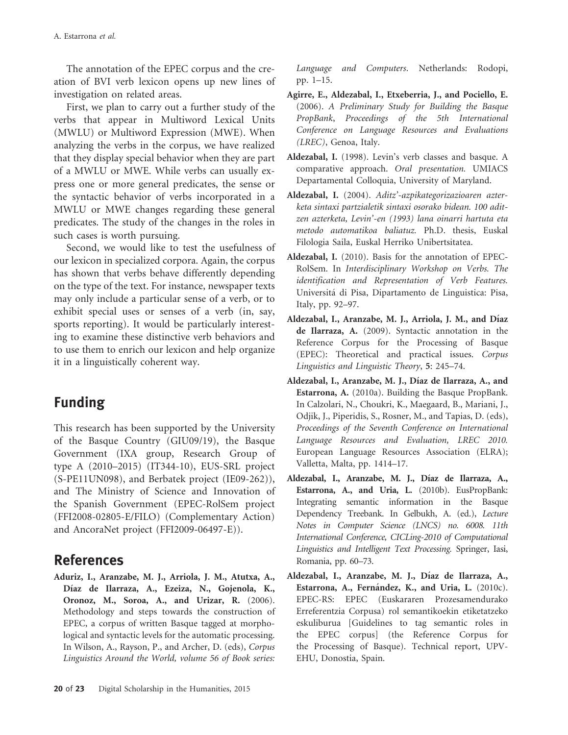<span id="page-19-0"></span>The annotation of the EPEC corpus and the creation of BVI verb lexicon opens up new lines of investigation on related areas.

First, we plan to carry out a further study of the verbs that appear in Multiword Lexical Units (MWLU) or Multiword Expression (MWE). When analyzing the verbs in the corpus, we have realized that they display special behavior when they are part of a MWLU or MWE. While verbs can usually express one or more general predicates, the sense or the syntactic behavior of verbs incorporated in a MWLU or MWE changes regarding these general predicates. The study of the changes in the roles in such cases is worth pursuing.

Second, we would like to test the usefulness of our lexicon in specialized corpora. Again, the corpus has shown that verbs behave differently depending on the type of the text. For instance, newspaper texts may only include a particular sense of a verb, or to exhibit special uses or senses of a verb (in, say, sports reporting). It would be particularly interesting to examine these distinctive verb behaviors and to use them to enrich our lexicon and help organize it in a linguistically coherent way.

# Funding

This research has been supported by the University of the Basque Country (GIU09/19), the Basque Government (IXA group, Research Group of type A (2010–2015) (IT344-10), EUS-SRL project (S-PE11UN098), and Berbatek project (IE09-262)), and The Ministry of Science and Innovation of the Spanish Government (EPEC-RolSem project (FFI2008-02805-E/FILO) (Complementary Action) and AncoraNet project (FFI2009-06497-E)).

# References

Aduriz, I., Aranzabe, M. J., Arriola, J. M., Atutxa, A., Díaz de Ilarraza, A., Ezeiza, N., Gojenola, K., Oronoz, M., Soroa, A., and Urizar, R. (2006). Methodology and steps towards the construction of EPEC, a corpus of written Basque tagged at morphological and syntactic levels for the automatic processing. In Wilson, A., Rayson, P., and Archer, D. (eds), Corpus Linguistics Around the World, volume 56 of Book series:

Language and Computers. Netherlands: Rodopi, pp. 1–15.

- Agirre, E., Aldezabal, I., Etxeberria, J., and Pociello, E. (2006). A Preliminary Study for Building the Basque PropBank, Proceedings of the 5th International Conference on Language Resources and Evaluations (LREC), Genoa, Italy.
- Aldezabal, I. (1998). Levin's verb classes and basque. A comparative approach. Oral presentation. UMIACS Departamental Colloquia, University of Maryland.
- Aldezabal, I. (2004). Aditz'-azpikategorizazioaren azterketa sintaxi partzialetik sintaxi osorako bidean. 100 aditzen azterketa, Levin'-en (1993) lana oinarri hartuta eta metodo automatikoa baliatuz. Ph.D. thesis, Euskal Filologia Saila, Euskal Herriko Unibertsitatea.
- Aldezabal, I. (2010). Basis for the annotation of EPEC-RolSem. In Interdisciplinary Workshop on Verbs. The identification and Representation of Verb Features. Universita´ di Pisa, Dipartamento de Linguistica: Pisa, Italy, pp. 92–97.
- Aldezabal, I., Aranzabe, M. J., Arriola, J. M., and Díaz de Ilarraza, A. (2009). Syntactic annotation in the Reference Corpus for the Processing of Basque (EPEC): Theoretical and practical issues. Corpus Linguistics and Linguistic Theory, 5: 245–74.
- Aldezabal, I., Aranzabe, M. J., Díaz de Ilarraza, A., and Estarrona, A. (2010a). Building the Basque PropBank. In Calzolari, N., Choukri, K., Maegaard, B., Mariani, J., Odjik, J., Piperidis, S., Rosner, M., and Tapias, D. (eds), Proceedings of the Seventh Conference on International Language Resources and Evaluation, LREC 2010. European Language Resources Association (ELRA); Valletta, Malta, pp. 1414–17.
- Aldezabal, I., Aranzabe, M. J., Díaz de Ilarraza, A., Estarrona, A., and Uria, L. (2010b). EusPropBank: Integrating semantic information in the Basque Dependency Treebank. In Gelbukh, A. (ed.), Lecture Notes in Computer Science (LNCS) no. 6008. 11th International Conference, CICLing-2010 of Computational Linguistics and Intelligent Text Processing. Springer, Iasi, Romania, pp. 60–73.
- Aldezabal, I., Aranzabe, M. J., Díaz de Ilarraza, A., Estarrona, A., Fernández, K., and Uria, L. (2010c). EPEC-RS: EPEC (Euskararen Prozesamendurako Erreferentzia Corpusa) rol semantikoekin etiketatzeko eskuliburua [Guidelines to tag semantic roles in the EPEC corpus] (the Reference Corpus for the Processing of Basque). Technical report, UPV-EHU, Donostia, Spain.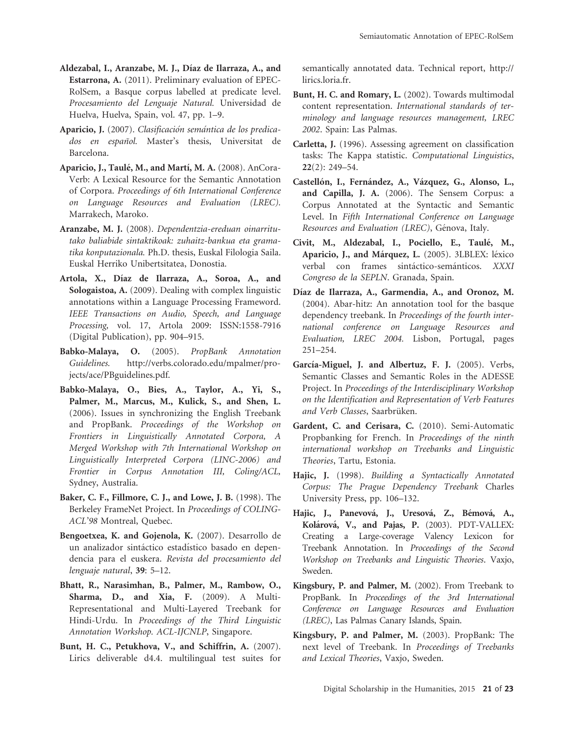- <span id="page-20-0"></span>Aldezabal, I., Aranzabe, M. J., Díaz de Ilarraza, A., and Estarrona, A. (2011). Preliminary evaluation of EPEC-RolSem, a Basque corpus labelled at predicate level. Procesamiento del Lenguaje Natural. Universidad de Huelva, Huelva, Spain, vol. 47, pp. 1–9.
- Aparicio, J. (2007). Clasificación semántica de los predicados en español. Master's thesis, Universitat de Barcelona.
- Aparicio, J., Taulé, M., and Martí, M. A. (2008). AnCora-Verb: A Lexical Resource for the Semantic Annotation of Corpora. Proceedings of 6th International Conference on Language Resources and Evaluation (LREC). Marrakech, Maroko.
- Aranzabe, M. J. (2008). Dependentzia-ereduan oinarritutako baliabide sintaktikoak: zuhaitz-bankua eta gramatika konputazionala. Ph.D. thesis, Euskal Filologia Saila. Euskal Herriko Unibertsitatea, Donostia.
- Artola, X., Dı´az de Ilarraza, A., Soroa, A., and Sologaistoa, A. (2009). Dealing with complex linguistic annotations within a Language Processing Frameword. IEEE Transactions on Audio, Speech, and Language Processing, vol. 17, Artola 2009: ISSN:1558-7916 (Digital Publication), pp. 904–915.
- Babko-Malaya, O. (2005). PropBank Annotation Guidelines. [http://verbs.colorado.edu/mpalmer/pro](http://verbs.colorado.edu/mpalmer/projects/ace/PBguidelines.pdf)[jects/ace/PBguidelines.pdf](http://verbs.colorado.edu/mpalmer/projects/ace/PBguidelines.pdf).
- Babko-Malaya, O., Bies, A., Taylor, A., Yi, S., Palmer, M., Marcus, M., Kulick, S., and Shen, L. (2006). Issues in synchronizing the English Treebank and PropBank. Proceedings of the Workshop on Frontiers in Linguistically Annotated Corpora, A Merged Workshop with 7th International Workshop on Linguistically Interpreted Corpora (LINC-2006) and Frontier in Corpus Annotation III, Coling/ACL, Sydney, Australia.
- Baker, C. F., Fillmore, C. J., and Lowe, J. B. (1998). The Berkeley FrameNet Project. In Proceedings of COLING-ACL'98 Montreal, Quebec.
- Bengoetxea, K. and Gojenola, K. (2007). Desarrollo de un analizador sintáctico estadístico basado en dependencia para el euskera. Revista del procesamiento del lenguaje natural, 39: 5–12.
- Bhatt, R., Narasimhan, B., Palmer, M., Rambow, O., Sharma, D., and Xia, F. (2009). A Multi-Representational and Multi-Layered Treebank for Hindi-Urdu. In Proceedings of the Third Linguistic Annotation Workshop. ACL-IJCNLP, Singapore.
- Bunt, H. C., Petukhova, V., and Schiffrin, A. (2007). Lirics deliverable d4.4. multilingual test suites for

semantically annotated data. Technical report, [http://](http://lirics.loria.fr) [lirics.loria.fr.](http://lirics.loria.fr)

- Bunt, H. C. and Romary, L. (2002). Towards multimodal content representation. International standards of terminology and language resources management, LREC 2002. Spain: Las Palmas.
- Carletta, J. (1996). Assessing agreement on classification tasks: The Kappa statistic. Computational Linguistics, 22(2): 249–54.
- Castellón, I., Fernández, A., Vázquez, G., Alonso, L., and Capilla, J. A. (2006). The Sensem Corpus: a Corpus Annotated at the Syntactic and Semantic Level. In Fifth International Conference on Language Resources and Evaluation (LREC), Génova, Italy.
- Civit, M., Aldezabal, I., Pociello, E., Taulé, M., Aparicio, J., and Márquez, L. (2005). 3LBLEX: léxico verbal con frames sintáctico-semánticos. XXXI Congreso de la SEPLN. Granada, Spain.
- Díaz de Ilarraza, A., Garmendia, A., and Oronoz, M. (2004). Abar-hitz: An annotation tool for the basque dependency treebank. In Proceedings of the fourth international conference on Language Resources and Evaluation, LREC 2004. Lisbon, Portugal, pages 251–254.
- García-Miguel, J. and Albertuz, F. J. (2005). Verbs, Semantic Classes and Semantic Roles in the ADESSE Project. In Proceedings of the Interdisciplinary Workshop on the Identification and Representation of Verb Features and Verb Classes, Saarbrüken.
- Gardent, C. and Cerisara, C. (2010). Semi-Automatic Propbanking for French. In Proceedings of the ninth international workshop on Treebanks and Linguistic Theories, Tartu, Estonia.
- Hajic, J. (1998). Building a Syntactically Annotated Corpus: The Prague Dependency Treebank Charles University Press, pp. 106–132.
- Hajic, J., Panevová, J., Uresová, Z., Bémová, A., Kolárová, V., and Pajas, P. (2003). PDT-VALLEX: Creating a Large-coverage Valency Lexicon for Treebank Annotation. In Proceedings of the Second Workshop on Treebanks and Linguistic Theories. Vaxjo, Sweden.
- Kingsbury, P. and Palmer, M. (2002). From Treebank to PropBank. In Proceedings of the 3rd International Conference on Language Resources and Evaluation (LREC), Las Palmas Canary Islands, Spain.
- Kingsbury, P. and Palmer, M. (2003). PropBank: The next level of Treebank. In Proceedings of Treebanks and Lexical Theories, Vaxjo, Sweden.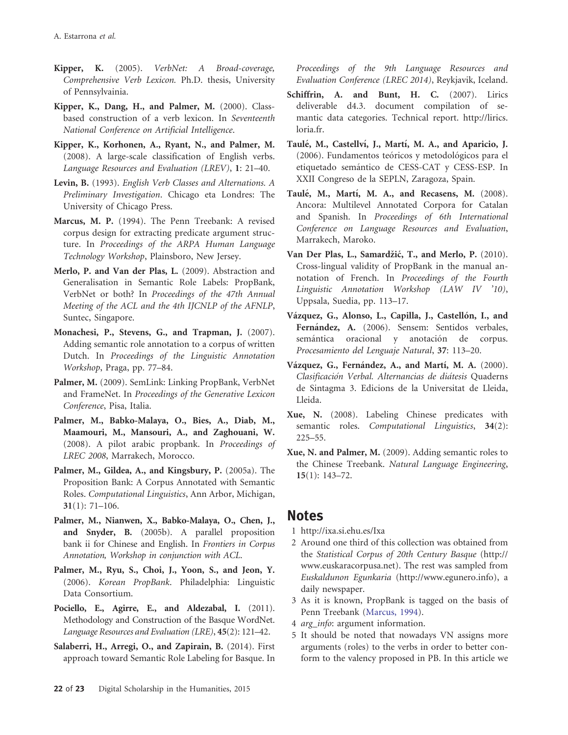- <span id="page-21-0"></span>Kipper, K. (2005). VerbNet: A Broad-coverage, Comprehensive Verb Lexicon. Ph.D. thesis, University of Pennsylvainia.
- Kipper, K., Dang, H., and Palmer, M. (2000). Classbased construction of a verb lexicon. In Seventeenth National Conference on Artificial Intelligence.
- Kipper, K., Korhonen, A., Ryant, N., and Palmer, M. (2008). A large-scale classification of English verbs. Language Resources and Evaluation (LREV), 1: 21–40.
- Levin, B. (1993). English Verb Classes and Alternations. A Preliminary Investigation. Chicago eta Londres: The University of Chicago Press.
- Marcus, M. P. (1994). The Penn Treebank: A revised corpus design for extracting predicate argument structure. In Proceedings of the ARPA Human Language Technology Workshop, Plainsboro, New Jersey.
- Merlo, P. and Van der Plas, L. (2009). Abstraction and Generalisation in Semantic Role Labels: PropBank, VerbNet or both? In Proceedings of the 47th Annual Meeting of the ACL and the 4th IJCNLP of the AFNLP, Suntec, Singapore.
- Monachesi, P., Stevens, G., and Trapman, J. (2007). Adding semantic role annotation to a corpus of written Dutch. In Proceedings of the Linguistic Annotation Workshop, Praga, pp. 77–84.
- Palmer, M. (2009). SemLink: Linking PropBank, VerbNet and FrameNet. In Proceedings of the Generative Lexicon Conference, Pisa, Italia.
- Palmer, M., Babko-Malaya, O., Bies, A., Diab, M., Maamouri, M., Mansouri, A., and Zaghouani, W. (2008). A pilot arabic propbank. In Proceedings of LREC 2008, Marrakech, Morocco.
- Palmer, M., Gildea, A., and Kingsbury, P. (2005a). The Proposition Bank: A Corpus Annotated with Semantic Roles. Computational Linguistics, Ann Arbor, Michigan, 31(1): 71–106.
- Palmer, M., Nianwen, X., Babko-Malaya, O., Chen, J., and Snyder, B. (2005b). A parallel proposition bank ii for Chinese and English. In Frontiers in Corpus Annotation, Workshop in conjunction with ACL.
- Palmer, M., Ryu, S., Choi, J., Yoon, S., and Jeon, Y. (2006). Korean PropBank. Philadelphia: Linguistic Data Consortium.
- Pociello, E., Agirre, E., and Aldezabal, I. (2011). Methodology and Construction of the Basque WordNet. Language Resources and Evaluation (LRE), 45(2): 121–42.
- Salaberri, H., Arregi, O., and Zapirain, B. (2014). First approach toward Semantic Role Labeling for Basque. In

Proceedings of the 9th Language Resources and Evaluation Conference (LREC 2014), Reykjavik, Iceland.

- Schiffrin, A. and Bunt, H. C. (2007). Lirics deliverable d4.3. document compilation of semantic data categories. Technical report. [http://lirics.](http://lirics.loria.fr) [loria.fr.](http://lirics.loria.fr)
- Taulé, M., Castellví, J., Martí, M. A., and Aparicio, J. (2006). Fundamentos teóricos y metodológicos para el etiquetado semántico de CESS-CAT y CESS-ESP. In XXII Congreso de la SEPLN, Zaragoza, Spain.
- Taulé, M., Martí, M. A., and Recasens, M. (2008). Ancora: Multilevel Annotated Corpora for Catalan and Spanish. In Proceedings of 6th International Conference on Language Resources and Evaluation, Marrakech, Maroko.
- Van Der Plas, L., Samardžić, T., and Merlo, P. (2010). Cross-lingual validity of PropBank in the manual annotation of French. In Proceedings of the Fourth Linguistic Annotation Workshop (LAW IV '10), Uppsala, Suedia, pp. 113–17.
- Vázquez, G., Alonso, L., Capilla, J., Castellón, I., and Fernández, A. (2006). Sensem: Sentidos verbales, semántica oracional y anotación de corpus. Procesamiento del Lenguaje Natural, 37: 113–20.
- Vázquez, G., Fernández, A., and Martí, M. A. (2000). Clasificación Verbal. Alternancias de diátesis Quaderns de Sintagma 3. Edicions de la Universitat de Lleida, Lleida.
- Xue, N. (2008). Labeling Chinese predicates with semantic roles. Computational Linguistics, 34(2): 225–55.
- Xue, N. and Palmer, M. (2009). Adding semantic roles to the Chinese Treebank. Natural Language Engineering, 15(1): 143–72.

### **Notes**

- 1<http://ixa.si.ehu.es/Ixa>
- 2 Around one third of this collection was obtained from the Statistical Corpus of 20th Century Basque ([http://](http://www.euskaracorpusa.net) [www.euskaracorpusa.net\)](http://www.euskaracorpusa.net). The rest was sampled from Euskaldunon Egunkaria (<http://www.egunero.info>), a daily newspaper.
- 3 As it is known, PropBank is tagged on the basis of Penn Treebank (Marcus, 1994).
- 4 arg\_info: argument information.
- 5 It should be noted that nowadays VN assigns more arguments (roles) to the verbs in order to better conform to the valency proposed in PB. In this article we